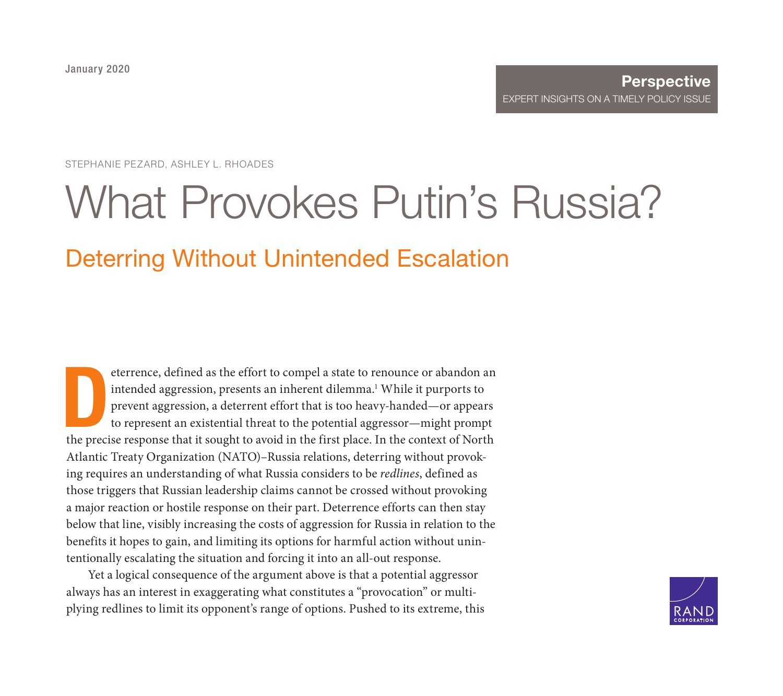STEPHANIE PEZARD, ASHLEY L. RHOADES

# [What Provokes Putin's Russia?](https://www.rand.org/pubs/perspectives/PE338.html) Deterring Without Unintended Escalation

eterrence, defined as the effort to compel a state to renounce or abandon an intended aggression, presents an inherent dilemma.<sup>1</sup> While it purports to prevent aggression, a deterrent effort that is too heavy-handed—or app eterrence, defined as the effort to compel a state to renounce or abandon an intended aggression, presents an inherent dilemma.<sup>1</sup> While it purports to prevent aggression, a deterrent effort that is too heavy-handed—or appears to represent an existential threat to the potential aggressor—might prompt Atlantic Treaty Organization (NATO)–Russia relations, deterring without provoking requires an understanding of what Russia considers to be *redlines*, defined as those triggers that Russian leadership claims cannot be crossed without provoking a major reaction or hostile response on their part. Deterrence efforts can then stay below that line, visibly increasing the costs of aggression for Russia in relation to the benefits it hopes to gain, and limiting its options for harmful action without unintentionally escalating the situation and forcing it into an all-out response.

Yet a logical consequence of the argument above is that a potential aggressor always has an interest in exaggerating what constitutes a "provocation" or multiplying redlines to limit its opponent's range of options. Pushed to its extreme, this

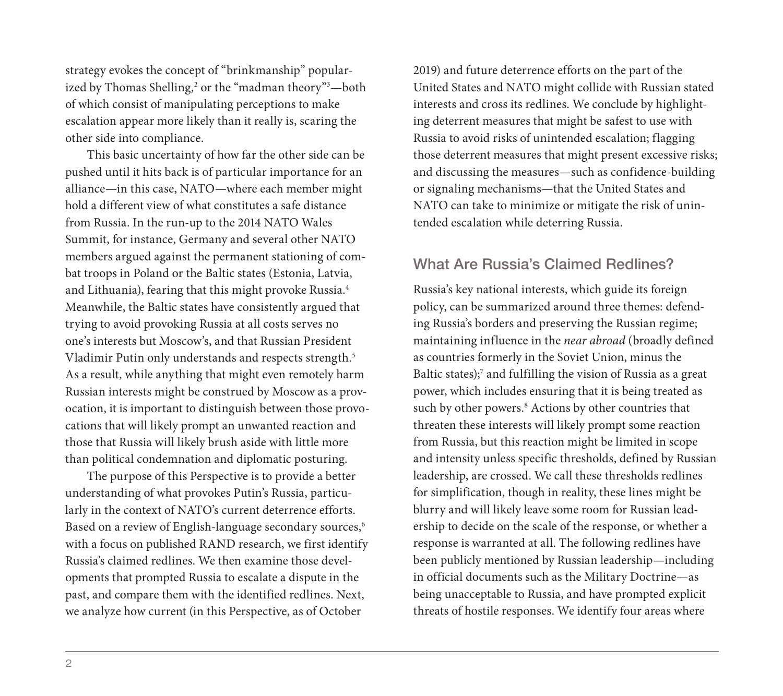strategy evokes the concept of "brinkmanship" popularized by Thomas Shelling,<sup>2</sup> or the "madman theory"<sup>3</sup>—both of which consist of manipulating perceptions to make escalation appear more likely than it really is, scaring the other side into compliance.

This basic uncertainty of how far the other side can be pushed until it hits back is of particular importance for an alliance—in this case, NATO—where each member might hold a different view of what constitutes a safe distance from Russia. In the run-up to the 2014 NATO Wales Summit, for instance, Germany and several other NATO members argued against the permanent stationing of combat troops in Poland or the Baltic states (Estonia, Latvia, and Lithuania), fearing that this might provoke Russia.4 Meanwhile, the Baltic states have consistently argued that trying to avoid provoking Russia at all costs serves no one's interests but Moscow's, and that Russian President Vladimir Putin only understands and respects strength.5 As a result, while anything that might even remotely harm Russian interests might be construed by Moscow as a provocation, it is important to distinguish between those provocations that will likely prompt an unwanted reaction and those that Russia will likely brush aside with little more than political condemnation and diplomatic posturing.

The purpose of this Perspective is to provide a better understanding of what provokes Putin's Russia, particularly in the context of NATO's current deterrence efforts. Based on a review of English-language secondary sources,<sup>6</sup> with a focus on published RAND research, we first identify Russia's claimed redlines. We then examine those developments that prompted Russia to escalate a dispute in the past, and compare them with the identified redlines. Next, we analyze how current (in this Perspective, as of October

2019) and future deterrence efforts on the part of the United States and NATO might collide with Russian stated interests and cross its redlines. We conclude by highlighting deterrent measures that might be safest to use with Russia to avoid risks of unintended escalation; flagging those deterrent measures that might present excessive risks; and discussing the measures—such as confidence-building or signaling mechanisms—that the United States and NATO can take to minimize or mitigate the risk of unintended escalation while deterring Russia.

# What Are Russia's Claimed Redlines?

Russia's key national interests, which guide its foreign policy, can be summarized around three themes: defending Russia's borders and preserving the Russian regime; maintaining influence in the *near abroad* (broadly defined as countries formerly in the Soviet Union, minus the Baltic states);<sup>7</sup> and fulfilling the vision of Russia as a great power, which includes ensuring that it is being treated as such by other powers.<sup>8</sup> Actions by other countries that threaten these interests will likely prompt some reaction from Russia, but this reaction might be limited in scope and intensity unless specific thresholds, defined by Russian leadership, are crossed. We call these thresholds redlines for simplification, though in reality, these lines might be blurry and will likely leave some room for Russian leadership to decide on the scale of the response, or whether a response is warranted at all. The following redlines have been publicly mentioned by Russian leadership—including in official documents such as the Military Doctrine—as being unacceptable to Russia, and have prompted explicit threats of hostile responses. We identify four areas where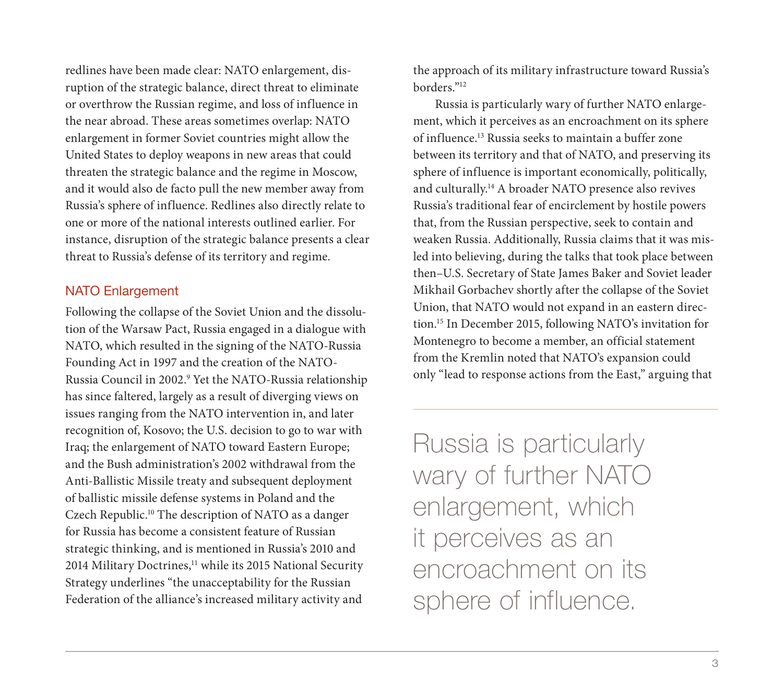redlines have been made clear: NATO enlargement, disruption of the strategic balance, direct threat to eliminate or overthrow the Russian regime, and loss of influence in the near abroad. These areas sometimes overlap: NATO enlargement in former Soviet countries might allow the United States to deploy weapons in new areas that could threaten the strategic balance and the regime in Moscow, and it would also de facto pull the new member away from Russia's sphere of influence. Redlines also directly relate to one or more of the national interests outlined earlier. For instance, disruption of the strategic balance presents a clear threat to Russia's defense of its territory and regime.

# NATO Enlargement

Following the collapse of the Soviet Union and the dissolution of the Warsaw Pact, Russia engaged in a dialogue with NATO, which resulted in the signing of the NATO-Russia Founding Act in 1997 and the creation of the NATO-Russia Council in 2002.9 Yet the NATO-Russia relationship has since faltered, largely as a result of diverging views on issues ranging from the NATO intervention in, and later recognition of, Kosovo; the U.S. decision to go to war with Iraq; the enlargement of NATO toward Eastern Europe; and the Bush administration's 2002 withdrawal from the Anti-Ballistic Missile treaty and subsequent deployment of ballistic missile defense systems in Poland and the Czech Republic.10 The description of NATO as a danger for Russia has become a consistent feature of Russian strategic thinking, and is mentioned in Russia's 2010 and 2014 Military Doctrines,<sup>11</sup> while its 2015 National Security Strategy underlines "the unacceptability for the Russian Federation of the alliance's increased military activity and

the approach of its military infrastructure toward Russia's borders."12

Russia is particularly wary of further NATO enlargement, which it perceives as an encroachment on its sphere of influence.13 Russia seeks to maintain a buffer zone between its territory and that of NATO, and preserving its sphere of influence is important economically, politically, and culturally.14 A broader NATO presence also revives Russia's traditional fear of encirclement by hostile powers that, from the Russian perspective, seek to contain and weaken Russia. Additionally, Russia claims that it was misled into believing, during the talks that took place between then–U.S. Secretary of State James Baker and Soviet leader Mikhail Gorbachev shortly after the collapse of the Soviet Union, that NATO would not expand in an eastern direction.15 In December 2015, following NATO's invitation for Montenegro to become a member, an official statement from the Kremlin noted that NATO's expansion could only "lead to response actions from the East," arguing that

Russia is particularly wary of further NATO enlargement, which it perceives as an encroachment on its sphere of influence.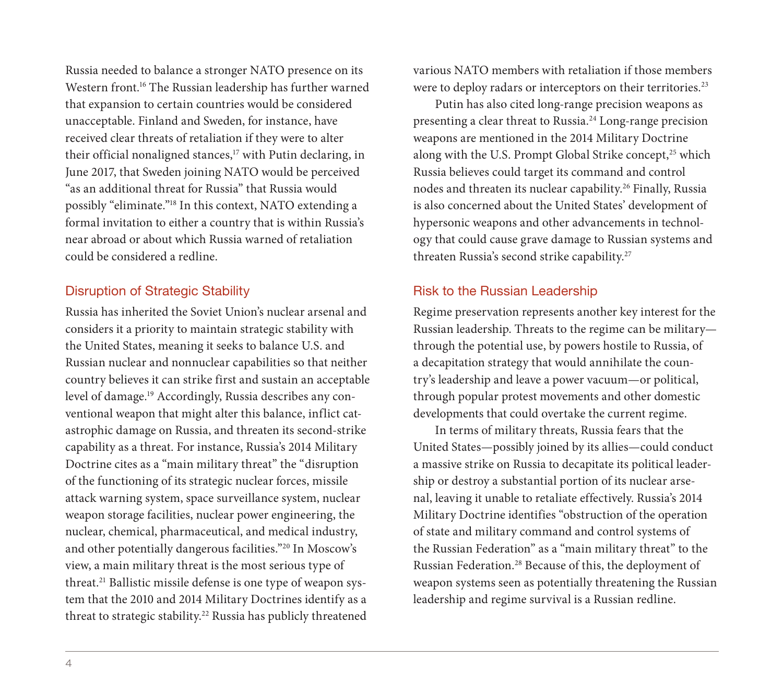Russia needed to balance a stronger NATO presence on its Western front.<sup>16</sup> The Russian leadership has further warned that expansion to certain countries would be considered unacceptable. Finland and Sweden, for instance, have received clear threats of retaliation if they were to alter their official nonaligned stances,<sup>17</sup> with Putin declaring, in June 2017, that Sweden joining NATO would be perceived "as an additional threat for Russia" that Russia would possibly "eliminate."18 In this context, NATO extending a formal invitation to either a country that is within Russia's near abroad or about which Russia warned of retaliation could be considered a redline.

## Disruption of Strategic Stability

Russia has inherited the Soviet Union's nuclear arsenal and considers it a priority to maintain strategic stability with the United States, meaning it seeks to balance U.S. and Russian nuclear and nonnuclear capabilities so that neither country believes it can strike first and sustain an acceptable level of damage.19 Accordingly, Russia describes any conventional weapon that might alter this balance, inflict catastrophic damage on Russia, and threaten its second-strike capability as a threat. For instance, Russia's 2014 Military Doctrine cites as a "main military threat" the "disruption of the functioning of its strategic nuclear forces, missile attack warning system, space surveillance system, nuclear weapon storage facilities, nuclear power engineering, the nuclear, chemical, pharmaceutical, and medical industry, and other potentially dangerous facilities."20 In Moscow's view, a main military threat is the most serious type of threat.21 Ballistic missile defense is one type of weapon system that the 2010 and 2014 Military Doctrines identify as a threat to strategic stability.<sup>22</sup> Russia has publicly threatened

various NATO members with retaliation if those members were to deploy radars or interceptors on their territories.<sup>23</sup>

Putin has also cited long-range precision weapons as presenting a clear threat to Russia.24 Long-range precision weapons are mentioned in the 2014 Military Doctrine along with the U.S. Prompt Global Strike concept,<sup>25</sup> which Russia believes could target its command and control nodes and threaten its nuclear capability.<sup>26</sup> Finally, Russia is also concerned about the United States' development of hypersonic weapons and other advancements in technology that could cause grave damage to Russian systems and threaten Russia's second strike capability.27

# Risk to the Russian Leadership

Regime preservation represents another key interest for the Russian leadership. Threats to the regime can be military through the potential use, by powers hostile to Russia, of a decapitation strategy that would annihilate the country's leadership and leave a power vacuum—or political, through popular protest movements and other domestic developments that could overtake the current regime.

In terms of military threats, Russia fears that the United States—possibly joined by its allies—could conduct a massive strike on Russia to decapitate its political leadership or destroy a substantial portion of its nuclear arsenal, leaving it unable to retaliate effectively. Russia's 2014 Military Doctrine identifies "obstruction of the operation of state and military command and control systems of the Russian Federation" as a "main military threat" to the Russian Federation.28 Because of this, the deployment of weapon systems seen as potentially threatening the Russian leadership and regime survival is a Russian redline.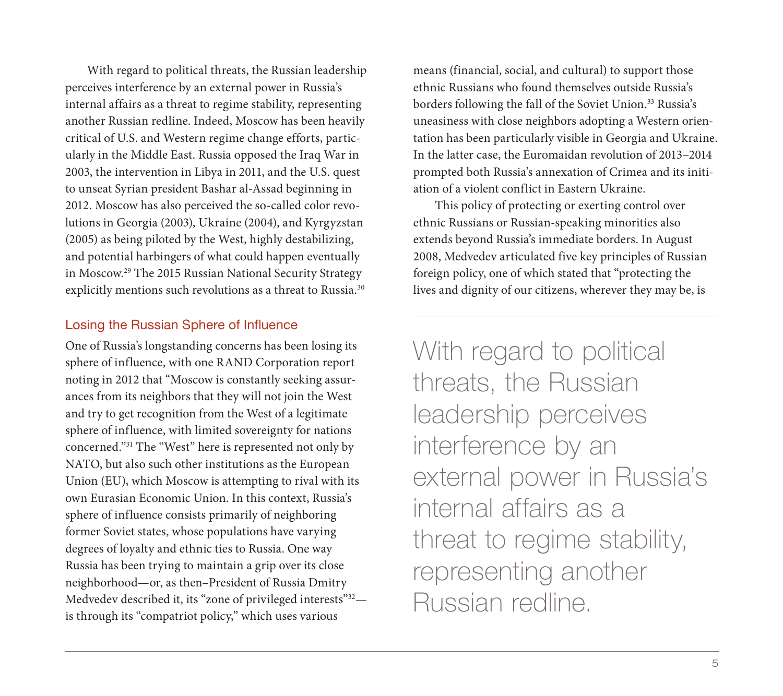With regard to political threats, the Russian leadership perceives interference by an external power in Russia's internal affairs as a threat to regime stability, representing another Russian redline. Indeed, Moscow has been heavily critical of U.S. and Western regime change efforts, particularly in the Middle East. Russia opposed the Iraq War in 2003, the intervention in Libya in 2011, and the U.S. quest to unseat Syrian president Bashar al-Assad beginning in 2012. Moscow has also perceived the so-called color revolutions in Georgia (2003), Ukraine (2004), and Kyrgyzstan (2005) as being piloted by the West, highly destabilizing, and potential harbingers of what could happen eventually in Moscow.29 The 2015 Russian National Security Strategy explicitly mentions such revolutions as a threat to Russia.<sup>30</sup>

## Losing the Russian Sphere of Influence

One of Russia's longstanding concerns has been losing its sphere of influence, with one RAND Corporation report noting in 2012 that "Moscow is constantly seeking assurances from its neighbors that they will not join the West and try to get recognition from the West of a legitimate sphere of influence, with limited sovereignty for nations concerned."31 The "West" here is represented not only by NATO, but also such other institutions as the European Union (EU), which Moscow is attempting to rival with its own Eurasian Economic Union. In this context, Russia's sphere of influence consists primarily of neighboring former Soviet states, whose populations have varying degrees of loyalty and ethnic ties to Russia. One way Russia has been trying to maintain a grip over its close neighborhood—or, as then–President of Russia Dmitry Medvedev described it, its "zone of privileged interests"<sup>32</sup>is through its "compatriot policy," which uses various

means (financial, social, and cultural) to support those ethnic Russians who found themselves outside Russia's borders following the fall of the Soviet Union.<sup>33</sup> Russia's uneasiness with close neighbors adopting a Western orientation has been particularly visible in Georgia and Ukraine. In the latter case, the Euromaidan revolution of 2013–2014 prompted both Russia's annexation of Crimea and its initiation of a violent conflict in Eastern Ukraine.

This policy of protecting or exerting control over ethnic Russians or Russian-speaking minorities also extends beyond Russia's immediate borders. In August 2008, Medvedev articulated five key principles of Russian foreign policy, one of which stated that "protecting the lives and dignity of our citizens, wherever they may be, is

With regard to political threats, the Russian leadership perceives interference by an external power in Russia's internal affairs as a threat to regime stability, representing another Russian redline.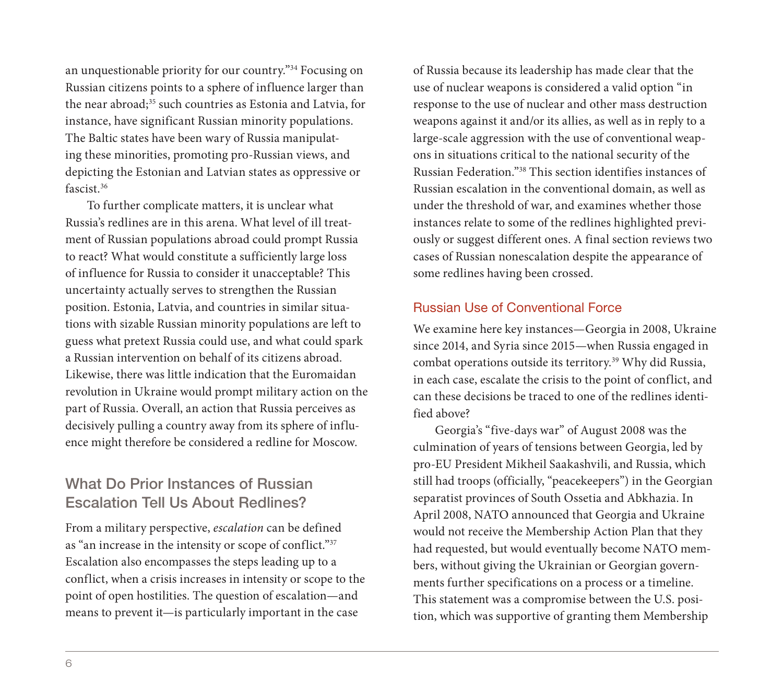an unquestionable priority for our country."34 Focusing on Russian citizens points to a sphere of influence larger than the near abroad;<sup>35</sup> such countries as Estonia and Latvia, for instance, have significant Russian minority populations. The Baltic states have been wary of Russia manipulating these minorities, promoting pro-Russian views, and depicting the Estonian and Latvian states as oppressive or fascist.36

To further complicate matters, it is unclear what Russia's redlines are in this arena. What level of ill treatment of Russian populations abroad could prompt Russia to react? What would constitute a sufficiently large loss of influence for Russia to consider it unacceptable? This uncertainty actually serves to strengthen the Russian position. Estonia, Latvia, and countries in similar situations with sizable Russian minority populations are left to guess what pretext Russia could use, and what could spark a Russian intervention on behalf of its citizens abroad. Likewise, there was little indication that the Euromaidan revolution in Ukraine would prompt military action on the part of Russia. Overall, an action that Russia perceives as decisively pulling a country away from its sphere of influence might therefore be considered a redline for Moscow.

# What Do Prior Instances of Russian Escalation Tell Us About Redlines?

From a military perspective, *escalation* can be defined as "an increase in the intensity or scope of conflict."37 Escalation also encompasses the steps leading up to a conflict, when a crisis increases in intensity or scope to the point of open hostilities. The question of escalation—and means to prevent it—is particularly important in the case

of Russia because its leadership has made clear that the use of nuclear weapons is considered a valid option "in response to the use of nuclear and other mass destruction weapons against it and/or its allies, as well as in reply to a large-scale aggression with the use of conventional weapons in situations critical to the national security of the Russian Federation."38 This section identifies instances of Russian escalation in the conventional domain, as well as under the threshold of war, and examines whether those instances relate to some of the redlines highlighted previously or suggest different ones. A final section reviews two cases of Russian nonescalation despite the appearance of some redlines having been crossed.

## Russian Use of Conventional Force

We examine here key instances—Georgia in 2008, Ukraine since 2014, and Syria since 2015—when Russia engaged in combat operations outside its territory.<sup>39</sup> Why did Russia, in each case, escalate the crisis to the point of conflict, and can these decisions be traced to one of the redlines identified above?

Georgia's "five-days war" of August 2008 was the culmination of years of tensions between Georgia, led by pro-EU President Mikheil Saakashvili, and Russia, which still had troops (officially, "peacekeepers") in the Georgian separatist provinces of South Ossetia and Abkhazia. In April 2008, NATO announced that Georgia and Ukraine would not receive the Membership Action Plan that they had requested, but would eventually become NATO members, without giving the Ukrainian or Georgian governments further specifications on a process or a timeline. This statement was a compromise between the U.S. position, which was supportive of granting them Membership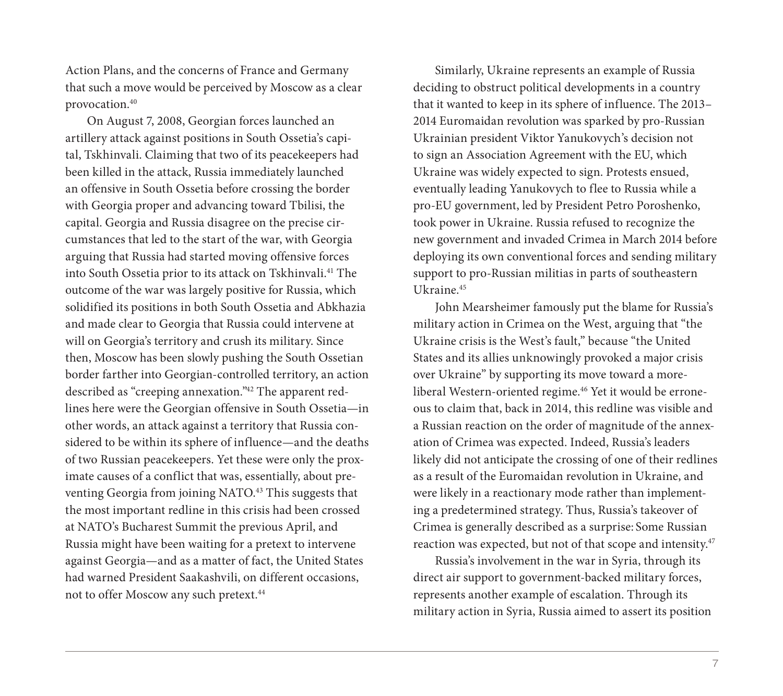Action Plans, and the concerns of France and Germany that such a move would be perceived by Moscow as a clear provocation.40

On August 7, 2008, Georgian forces launched an artillery attack against positions in South Ossetia's capital, Tskhinvali. Claiming that two of its peacekeepers had been killed in the attack, Russia immediately launched an offensive in South Ossetia before crossing the border with Georgia proper and advancing toward Tbilisi, the capital. Georgia and Russia disagree on the precise circumstances that led to the start of the war, with Georgia arguing that Russia had started moving offensive forces into South Ossetia prior to its attack on Tskhinvali.41 The outcome of the war was largely positive for Russia, which solidified its positions in both South Ossetia and Abkhazia and made clear to Georgia that Russia could intervene at will on Georgia's territory and crush its military. Since then, Moscow has been slowly pushing the South Ossetian border farther into Georgian-controlled territory, an action described as "creeping annexation."42 The apparent redlines here were the Georgian offensive in South Ossetia—in other words, an attack against a territory that Russia considered to be within its sphere of influence—and the deaths of two Russian peacekeepers. Yet these were only the proximate causes of a conflict that was, essentially, about preventing Georgia from joining NATO.43 This suggests that the most important redline in this crisis had been crossed at NATO's Bucharest Summit the previous April, and Russia might have been waiting for a pretext to intervene against Georgia—and as a matter of fact, the United States had warned President Saakashvili, on different occasions, not to offer Moscow any such pretext.<sup>44</sup>

Similarly, Ukraine represents an example of Russia deciding to obstruct political developments in a country that it wanted to keep in its sphere of influence. The 2013– 2014 Euromaidan revolution was sparked by pro-Russian Ukrainian president Viktor Yanukovych's decision not to sign an Association Agreement with the EU, which Ukraine was widely expected to sign. Protests ensued, eventually leading Yanukovych to flee to Russia while a pro-EU government, led by President Petro Poroshenko, took power in Ukraine. Russia refused to recognize the new government and invaded Crimea in March 2014 before deploying its own conventional forces and sending military support to pro-Russian militias in parts of southeastern Ukraine.45

John Mearsheimer famously put the blame for Russia's military action in Crimea on the West, arguing that "the Ukraine crisis is the West's fault," because "the United States and its allies unknowingly provoked a major crisis over Ukraine" by supporting its move toward a moreliberal Western-oriented regime.<sup>46</sup> Yet it would be erroneous to claim that, back in 2014, this redline was visible and a Russian reaction on the order of magnitude of the annexation of Crimea was expected. Indeed, Russia's leaders likely did not anticipate the crossing of one of their redlines as a result of the Euromaidan revolution in Ukraine, and were likely in a reactionary mode rather than implementing a predetermined strategy. Thus, Russia's takeover of Crimea is generally described as a surprise: Some Russian reaction was expected, but not of that scope and intensity.<sup>47</sup>

Russia's involvement in the war in Syria, through its direct air support to government-backed military forces, represents another example of escalation. Through its military action in Syria, Russia aimed to assert its position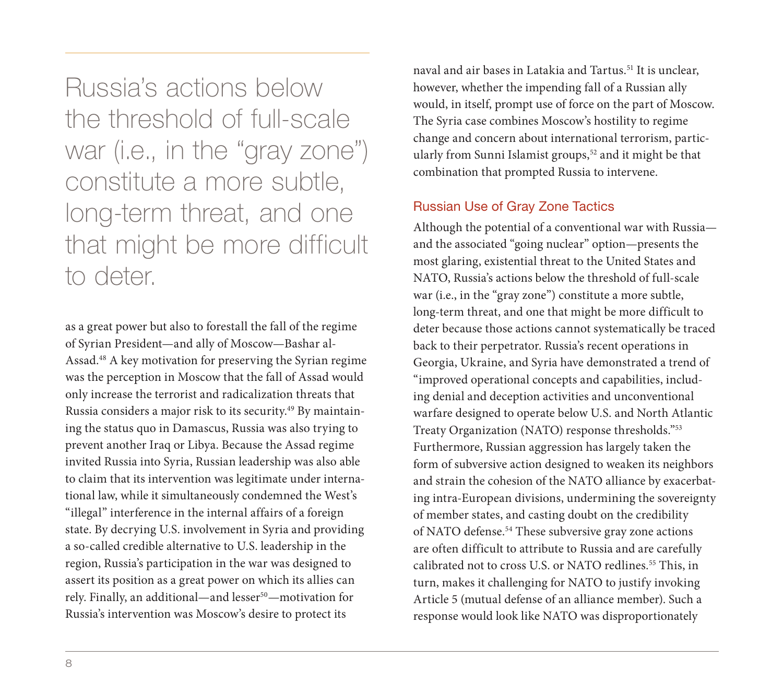Russia's actions below the threshold of full-scale war (i.e., in the "gray zone") constitute a more subtle, long-term threat, and one that might be more difficult to deter.

as a great power but also to forestall the fall of the regime of Syrian President—and ally of Moscow—Bashar al-Assad.48 A key motivation for preserving the Syrian regime was the perception in Moscow that the fall of Assad would only increase the terrorist and radicalization threats that Russia considers a major risk to its security.49 By maintaining the status quo in Damascus, Russia was also trying to prevent another Iraq or Libya. Because the Assad regime invited Russia into Syria, Russian leadership was also able to claim that its intervention was legitimate under international law, while it simultaneously condemned the West's "illegal" interference in the internal affairs of a foreign state. By decrying U.S. involvement in Syria and providing a so-called credible alternative to U.S. leadership in the region, Russia's participation in the war was designed to assert its position as a great power on which its allies can rely. Finally, an additional—and lesser<sup>50</sup>—motivation for Russia's intervention was Moscow's desire to protect its

naval and air bases in Latakia and Tartus.<sup>51</sup> It is unclear, however, whether the impending fall of a Russian ally would, in itself, prompt use of force on the part of Moscow. The Syria case combines Moscow's hostility to regime change and concern about international terrorism, particularly from Sunni Islamist groups,<sup>52</sup> and it might be that combination that prompted Russia to intervene.

## Russian Use of Gray Zone Tactics

Although the potential of a conventional war with Russia and the associated "going nuclear" option—presents the most glaring, existential threat to the United States and NATO, Russia's actions below the threshold of full-scale war (i.e., in the "gray zone") constitute a more subtle, long-term threat, and one that might be more difficult to deter because those actions cannot systematically be traced back to their perpetrator. Russia's recent operations in Georgia, Ukraine, and Syria have demonstrated a trend of "improved operational concepts and capabilities, including denial and deception activities and unconventional warfare designed to operate below U.S. and North Atlantic Treaty Organization (NATO) response thresholds."53 Furthermore, Russian aggression has largely taken the form of subversive action designed to weaken its neighbors and strain the cohesion of the NATO alliance by exacerbating intra-European divisions, undermining the sovereignty of member states, and casting doubt on the credibility of NATO defense.54 These subversive gray zone actions are often difficult to attribute to Russia and are carefully calibrated not to cross U.S. or NATO redlines.<sup>55</sup> This, in turn, makes it challenging for NATO to justify invoking Article 5 (mutual defense of an alliance member). Such a response would look like NATO was disproportionately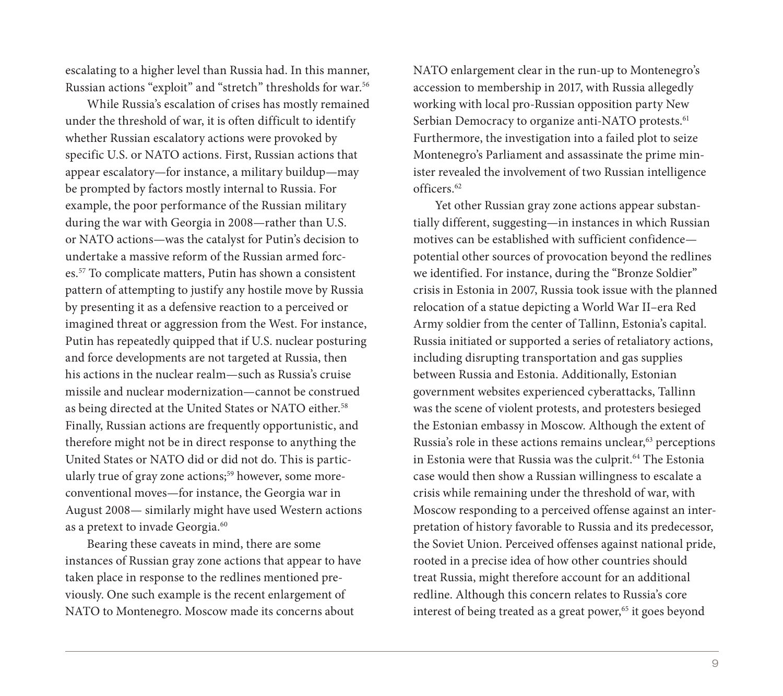escalating to a higher level than Russia had. In this manner, Russian actions "exploit" and "stretch" thresholds for war.56

While Russia's escalation of crises has mostly remained under the threshold of war, it is often difficult to identify whether Russian escalatory actions were provoked by specific U.S. or NATO actions. First, Russian actions that appear escalatory—for instance, a military buildup—may be prompted by factors mostly internal to Russia. For example, the poor performance of the Russian military during the war with Georgia in 2008—rather than U.S. or NATO actions—was the catalyst for Putin's decision to undertake a massive reform of the Russian armed forces.57 To complicate matters, Putin has shown a consistent pattern of attempting to justify any hostile move by Russia by presenting it as a defensive reaction to a perceived or imagined threat or aggression from the West. For instance, Putin has repeatedly quipped that if U.S. nuclear posturing and force developments are not targeted at Russia, then his actions in the nuclear realm—such as Russia's cruise missile and nuclear modernization—cannot be construed as being directed at the United States or NATO either.<sup>58</sup> Finally, Russian actions are frequently opportunistic, and therefore might not be in direct response to anything the United States or NATO did or did not do. This is particularly true of gray zone actions;<sup>59</sup> however, some moreconventional moves—for instance, the Georgia war in August 2008— similarly might have used Western actions as a pretext to invade Georgia.<sup>60</sup>

Bearing these caveats in mind, there are some instances of Russian gray zone actions that appear to have taken place in response to the redlines mentioned previously. One such example is the recent enlargement of NATO to Montenegro. Moscow made its concerns about

NATO enlargement clear in the run-up to Montenegro's accession to membership in 2017, with Russia allegedly working with local pro-Russian opposition party New Serbian Democracy to organize anti-NATO protests.<sup>61</sup> Furthermore, the investigation into a failed plot to seize Montenegro's Parliament and assassinate the prime minister revealed the involvement of two Russian intelligence officers.62

Yet other Russian gray zone actions appear substantially different, suggesting—in instances in which Russian motives can be established with sufficient confidence potential other sources of provocation beyond the redlines we identified. For instance, during the "Bronze Soldier" crisis in Estonia in 2007, Russia took issue with the planned relocation of a statue depicting a World War II–era Red Army soldier from the center of Tallinn, Estonia's capital. Russia initiated or supported a series of retaliatory actions, including disrupting transportation and gas supplies between Russia and Estonia. Additionally, Estonian government websites experienced cyberattacks, Tallinn was the scene of violent protests, and protesters besieged the Estonian embassy in Moscow. Although the extent of Russia's role in these actions remains unclear,<sup>63</sup> perceptions in Estonia were that Russia was the culprit.<sup>64</sup> The Estonia case would then show a Russian willingness to escalate a crisis while remaining under the threshold of war, with Moscow responding to a perceived offense against an interpretation of history favorable to Russia and its predecessor, the Soviet Union. Perceived offenses against national pride, rooted in a precise idea of how other countries should treat Russia, might therefore account for an additional redline. Although this concern relates to Russia's core interest of being treated as a great power,<sup>65</sup> it goes beyond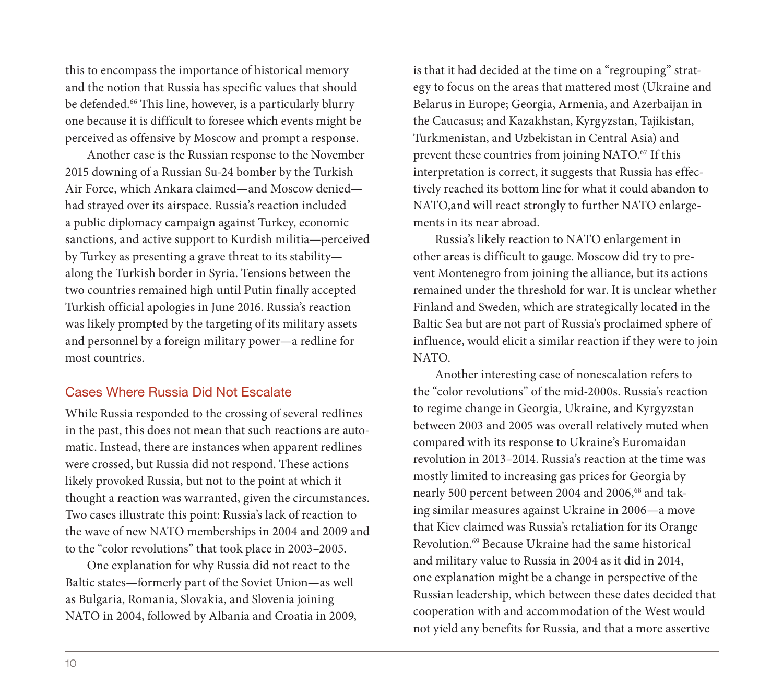this to encompass the importance of historical memory and the notion that Russia has specific values that should be defended.<sup>66</sup> This line, however, is a particularly blurry one because it is difficult to foresee which events might be perceived as offensive by Moscow and prompt a response.

Another case is the Russian response to the November 2015 downing of a Russian Su-24 bomber by the Turkish Air Force, which Ankara claimed—and Moscow denied had strayed over its airspace. Russia's reaction included a public diplomacy campaign against Turkey, economic sanctions, and active support to Kurdish militia—perceived by Turkey as presenting a grave threat to its stability along the Turkish border in Syria. Tensions between the two countries remained high until Putin finally accepted Turkish official apologies in June 2016. Russia's reaction was likely prompted by the targeting of its military assets and personnel by a foreign military power—a redline for most countries.

## Cases Where Russia Did Not Escalate

While Russia responded to the crossing of several redlines in the past, this does not mean that such reactions are automatic. Instead, there are instances when apparent redlines were crossed, but Russia did not respond. These actions likely provoked Russia, but not to the point at which it thought a reaction was warranted, given the circumstances. Two cases illustrate this point: Russia's lack of reaction to the wave of new NATO memberships in 2004 and 2009 and to the "color revolutions" that took place in 2003–2005.

One explanation for why Russia did not react to the Baltic states—formerly part of the Soviet Union—as well as Bulgaria, Romania, Slovakia, and Slovenia joining NATO in 2004, followed by Albania and Croatia in 2009, is that it had decided at the time on a "regrouping" strategy to focus on the areas that mattered most (Ukraine and Belarus in Europe; Georgia, Armenia, and Azerbaijan in the Caucasus; and Kazakhstan, Kyrgyzstan, Tajikistan, Turkmenistan, and Uzbekistan in Central Asia) and prevent these countries from joining NATO.<sup>67</sup> If this interpretation is correct, it suggests that Russia has effectively reached its bottom line for what it could abandon to NATO,and will react strongly to further NATO enlargements in its near abroad.

Russia's likely reaction to NATO enlargement in other areas is difficult to gauge. Moscow did try to prevent Montenegro from joining the alliance, but its actions remained under the threshold for war. It is unclear whether Finland and Sweden, which are strategically located in the Baltic Sea but are not part of Russia's proclaimed sphere of influence, would elicit a similar reaction if they were to join NATO.

Another interesting case of nonescalation refers to the "color revolutions" of the mid-2000s. Russia's reaction to regime change in Georgia, Ukraine, and Kyrgyzstan between 2003 and 2005 was overall relatively muted when compared with its response to Ukraine's Euromaidan revolution in 2013–2014. Russia's reaction at the time was mostly limited to increasing gas prices for Georgia by nearly 500 percent between 2004 and 2006,<sup>68</sup> and taking similar measures against Ukraine in 2006—a move that Kiev claimed was Russia's retaliation for its Orange Revolution.69 Because Ukraine had the same historical and military value to Russia in 2004 as it did in 2014, one explanation might be a change in perspective of the Russian leadership, which between these dates decided that cooperation with and accommodation of the West would not yield any benefits for Russia, and that a more assertive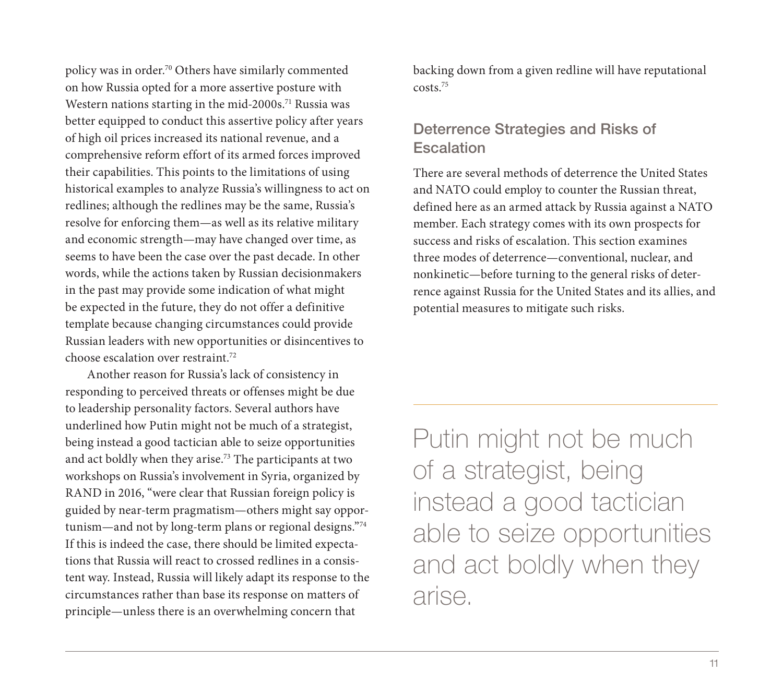policy was in order.70 Others have similarly commented on how Russia opted for a more assertive posture with Western nations starting in the mid-2000s.<sup>71</sup> Russia was better equipped to conduct this assertive policy after years of high oil prices increased its national revenue, and a comprehensive reform effort of its armed forces improved their capabilities. This points to the limitations of using historical examples to analyze Russia's willingness to act on redlines; although the redlines may be the same, Russia's resolve for enforcing them—as well as its relative military and economic strength—may have changed over time, as seems to have been the case over the past decade. In other words, while the actions taken by Russian decisionmakers in the past may provide some indication of what might be expected in the future, they do not offer a definitive template because changing circumstances could provide Russian leaders with new opportunities or disincentives to  $choose$  escalation over restraint.<sup>72</sup>

Another reason for Russia's lack of consistency in responding to perceived threats or offenses might be due to leadership personality factors. Several authors have underlined how Putin might not be much of a strategist, being instead a good tactician able to seize opportunities and act boldly when they arise.73 The participants at two workshops on Russia's involvement in Syria, organized by RAND in 2016, "were clear that Russian foreign policy is guided by near-term pragmatism—others might say opportunism—and not by long-term plans or regional designs."74 If this is indeed the case, there should be limited expectations that Russia will react to crossed redlines in a consistent way. Instead, Russia will likely adapt its response to the circumstances rather than base its response on matters of principle—unless there is an overwhelming concern that

backing down from a given redline will have reputational costs.75

# Deterrence Strategies and Risks of **Escalation**

There are several methods of deterrence the United States and NATO could employ to counter the Russian threat, defined here as an armed attack by Russia against a NATO member. Each strategy comes with its own prospects for success and risks of escalation. This section examines three modes of deterrence—conventional, nuclear, and nonkinetic—before turning to the general risks of deterrence against Russia for the United States and its allies, and potential measures to mitigate such risks.

Putin might not be much of a strategist, being instead a good tactician able to seize opportunities and act boldly when they arise.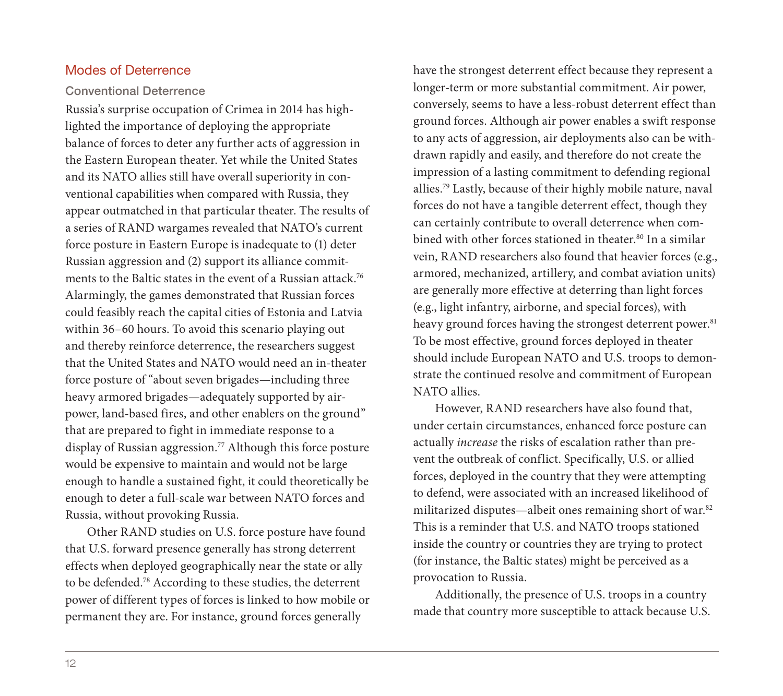#### Modes of Deterrence

#### Conventional Deterrence

Russia's surprise occupation of Crimea in 2014 has highlighted the importance of deploying the appropriate balance of forces to deter any further acts of aggression in the Eastern European theater. Yet while the United States and its NATO allies still have overall superiority in conventional capabilities when compared with Russia, they appear outmatched in that particular theater. The results of a series of RAND wargames revealed that NATO's current force posture in Eastern Europe is inadequate to (1) deter Russian aggression and (2) support its alliance commitments to the Baltic states in the event of a Russian attack.<sup>76</sup> Alarmingly, the games demonstrated that Russian forces could feasibly reach the capital cities of Estonia and Latvia within 36–60 hours. To avoid this scenario playing out and thereby reinforce deterrence, the researchers suggest that the United States and NATO would need an in-theater force posture of "about seven brigades—including three heavy armored brigades—adequately supported by airpower, land-based fires, and other enablers on the ground" that are prepared to fight in immediate response to a display of Russian aggression.77 Although this force posture would be expensive to maintain and would not be large enough to handle a sustained fight, it could theoretically be enough to deter a full-scale war between NATO forces and Russia, without provoking Russia.

Other RAND studies on U.S. force posture have found that U.S. forward presence generally has strong deterrent effects when deployed geographically near the state or ally to be defended.78 According to these studies, the deterrent power of different types of forces is linked to how mobile or permanent they are. For instance, ground forces generally

have the strongest deterrent effect because they represent a longer-term or more substantial commitment. Air power, conversely, seems to have a less-robust deterrent effect than ground forces. Although air power enables a swift response to any acts of aggression, air deployments also can be withdrawn rapidly and easily, and therefore do not create the impression of a lasting commitment to defending regional allies.79 Lastly, because of their highly mobile nature, naval forces do not have a tangible deterrent effect, though they can certainly contribute to overall deterrence when combined with other forces stationed in theater.<sup>80</sup> In a similar vein, RAND researchers also found that heavier forces (e.g., armored, mechanized, artillery, and combat aviation units) are generally more effective at deterring than light forces (e.g., light infantry, airborne, and special forces), with heavy ground forces having the strongest deterrent power.<sup>81</sup> To be most effective, ground forces deployed in theater should include European NATO and U.S. troops to demonstrate the continued resolve and commitment of European NATO allies.

However, RAND researchers have also found that, under certain circumstances, enhanced force posture can actually *increase* the risks of escalation rather than prevent the outbreak of conflict. Specifically, U.S. or allied forces, deployed in the country that they were attempting to defend, were associated with an increased likelihood of militarized disputes—albeit ones remaining short of war.82 This is a reminder that U.S. and NATO troops stationed inside the country or countries they are trying to protect (for instance, the Baltic states) might be perceived as a provocation to Russia.

Additionally, the presence of U.S. troops in a country made that country more susceptible to attack because U.S.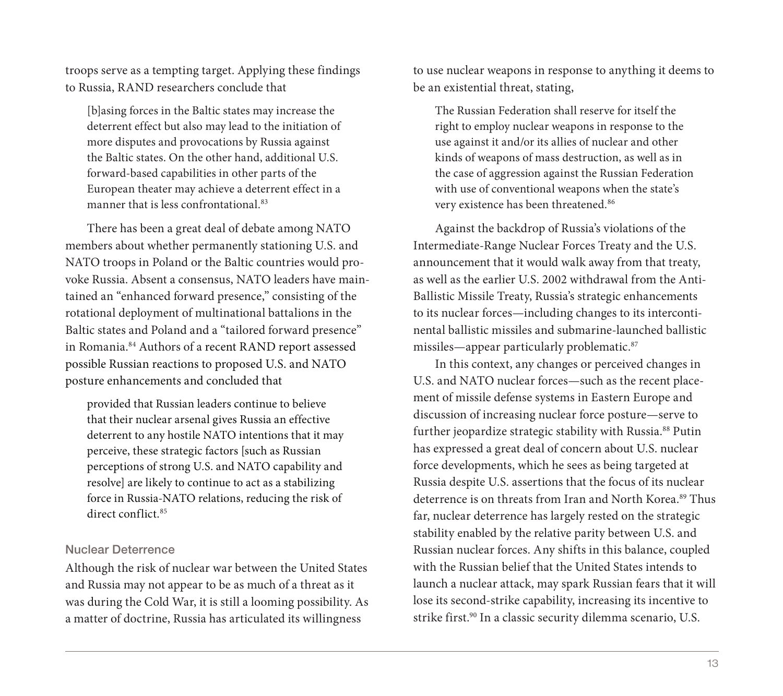troops serve as a tempting target. Applying these findings to Russia, RAND researchers conclude that

[b]asing forces in the Baltic states may increase the deterrent effect but also may lead to the initiation of more disputes and provocations by Russia against the Baltic states. On the other hand, additional U.S. forward-based capabilities in other parts of the European theater may achieve a deterrent effect in a manner that is less confrontational.<sup>83</sup>

There has been a great deal of debate among NATO members about whether permanently stationing U.S. and NATO troops in Poland or the Baltic countries would provoke Russia. Absent a consensus, NATO leaders have maintained an "enhanced forward presence," consisting of the rotational deployment of multinational battalions in the Baltic states and Poland and a "tailored forward presence" in Romania.<sup>84</sup> Authors of a recent RAND report assessed possible Russian reactions to proposed U.S. and NATO posture enhancements and concluded that

provided that Russian leaders continue to believe that their nuclear arsenal gives Russia an effective deterrent to any hostile NATO intentions that it may perceive, these strategic factors [such as Russian perceptions of strong U.S. and NATO capability and resolve] are likely to continue to act as a stabilizing force in Russia-NATO relations, reducing the risk of direct conflict.<sup>85</sup>

#### Nuclear Deterrence

Although the risk of nuclear war between the United States and Russia may not appear to be as much of a threat as it was during the Cold War, it is still a looming possibility. As a matter of doctrine, Russia has articulated its willingness

to use nuclear weapons in response to anything it deems to be an existential threat, stating,

The Russian Federation shall reserve for itself the right to employ nuclear weapons in response to the use against it and/or its allies of nuclear and other kinds of weapons of mass destruction, as well as in the case of aggression against the Russian Federation with use of conventional weapons when the state's very existence has been threatened.<sup>86</sup>

Against the backdrop of Russia's violations of the Intermediate-Range Nuclear Forces Treaty and the U.S. announcement that it would walk away from that treaty, as well as the earlier U.S. 2002 withdrawal from the Anti-Ballistic Missile Treaty, Russia's strategic enhancements to its nuclear forces—including changes to its intercontinental ballistic missiles and submarine-launched ballistic missiles—appear particularly problematic.87

In this context, any changes or perceived changes in U.S. and NATO nuclear forces—such as the recent placement of missile defense systems in Eastern Europe and discussion of increasing nuclear force posture—serve to further jeopardize strategic stability with Russia.<sup>88</sup> Putin has expressed a great deal of concern about U.S. nuclear force developments, which he sees as being targeted at Russia despite U.S. assertions that the focus of its nuclear deterrence is on threats from Iran and North Korea.<sup>89</sup> Thus far, nuclear deterrence has largely rested on the strategic stability enabled by the relative parity between U.S. and Russian nuclear forces. Any shifts in this balance, coupled with the Russian belief that the United States intends to launch a nuclear attack, may spark Russian fears that it will lose its second-strike capability, increasing its incentive to strike first.<sup>90</sup> In a classic security dilemma scenario, U.S.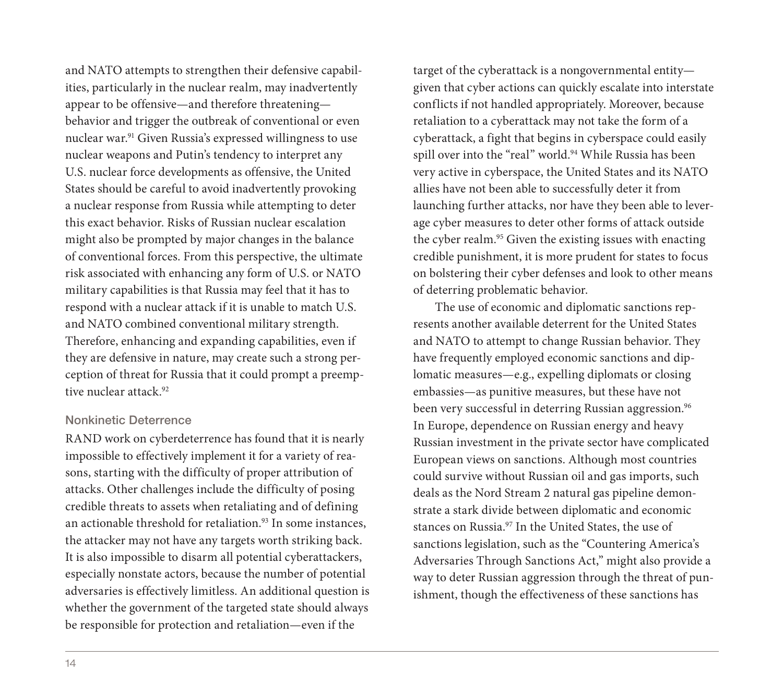and NATO attempts to strengthen their defensive capabilities, particularly in the nuclear realm, may inadvertently appear to be offensive—and therefore threatening behavior and trigger the outbreak of conventional or even nuclear war.<sup>91</sup> Given Russia's expressed willingness to use nuclear weapons and Putin's tendency to interpret any U.S. nuclear force developments as offensive, the United States should be careful to avoid inadvertently provoking a nuclear response from Russia while attempting to deter this exact behavior. Risks of Russian nuclear escalation might also be prompted by major changes in the balance of conventional forces. From this perspective, the ultimate risk associated with enhancing any form of U.S. or NATO military capabilities is that Russia may feel that it has to respond with a nuclear attack if it is unable to match U.S. and NATO combined conventional military strength. Therefore, enhancing and expanding capabilities, even if they are defensive in nature, may create such a strong perception of threat for Russia that it could prompt a preemptive nuclear attack.92

#### Nonkinetic Deterrence

RAND work on cyberdeterrence has found that it is nearly impossible to effectively implement it for a variety of reasons, starting with the difficulty of proper attribution of attacks. Other challenges include the difficulty of posing credible threats to assets when retaliating and of defining an actionable threshold for retaliation.<sup>93</sup> In some instances, the attacker may not have any targets worth striking back. It is also impossible to disarm all potential cyberattackers, especially nonstate actors, because the number of potential adversaries is effectively limitless. An additional question is whether the government of the targeted state should always be responsible for protection and retaliation—even if the

target of the cyberattack is a nongovernmental entity given that cyber actions can quickly escalate into interstate conflicts if not handled appropriately. Moreover, because retaliation to a cyberattack may not take the form of a cyberattack, a fight that begins in cyberspace could easily spill over into the "real" world.<sup>94</sup> While Russia has been very active in cyberspace, the United States and its NATO allies have not been able to successfully deter it from launching further attacks, nor have they been able to leverage cyber measures to deter other forms of attack outside the cyber realm.<sup>95</sup> Given the existing issues with enacting credible punishment, it is more prudent for states to focus on bolstering their cyber defenses and look to other means of deterring problematic behavior.

The use of economic and diplomatic sanctions represents another available deterrent for the United States and NATO to attempt to change Russian behavior. They have frequently employed economic sanctions and diplomatic measures—e.g., expelling diplomats or closing embassies—as punitive measures, but these have not been very successful in deterring Russian aggression.<sup>96</sup> In Europe, dependence on Russian energy and heavy Russian investment in the private sector have complicated European views on sanctions. Although most countries could survive without Russian oil and gas imports, such deals as the Nord Stream 2 natural gas pipeline demonstrate a stark divide between diplomatic and economic stances on Russia.97 In the United States, the use of sanctions legislation, such as the "Countering America's Adversaries Through Sanctions Act," might also provide a way to deter Russian aggression through the threat of punishment, though the effectiveness of these sanctions has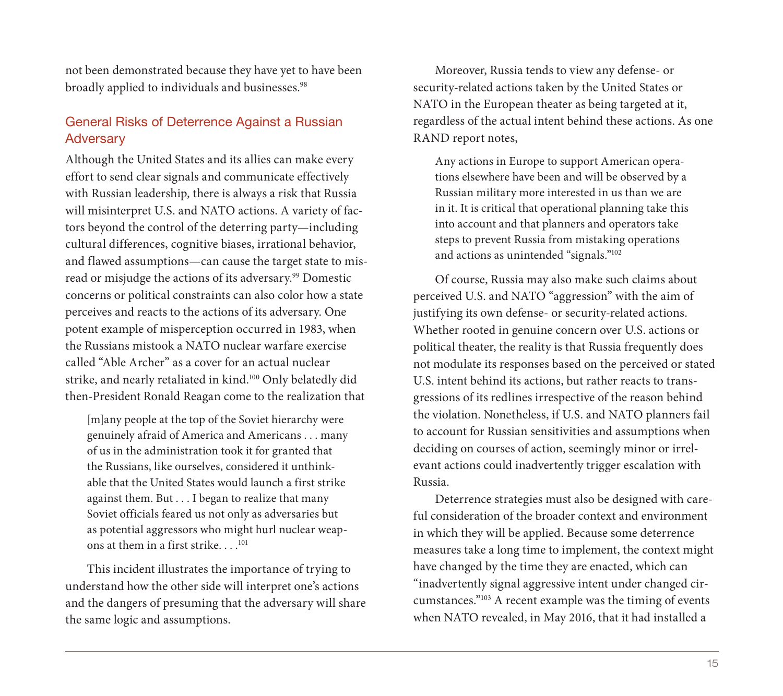not been demonstrated because they have yet to have been broadly applied to individuals and businesses.<sup>98</sup>

# General Risks of Deterrence Against a Russian **Adversary**

Although the United States and its allies can make every effort to send clear signals and communicate effectively with Russian leadership, there is always a risk that Russia will misinterpret U.S. and NATO actions. A variety of factors beyond the control of the deterring party—including cultural differences, cognitive biases, irrational behavior, and flawed assumptions—can cause the target state to misread or misjudge the actions of its adversary.99 Domestic concerns or political constraints can also color how a state perceives and reacts to the actions of its adversary. One potent example of misperception occurred in 1983, when the Russians mistook a NATO nuclear warfare exercise called "Able Archer" as a cover for an actual nuclear strike, and nearly retaliated in kind.100 Only belatedly did then-President Ronald Reagan come to the realization that

[m]any people at the top of the Soviet hierarchy were genuinely afraid of America and Americans . . . many of us in the administration took it for granted that the Russians, like ourselves, considered it unthinkable that the United States would launch a first strike against them. But . . . I began to realize that many Soviet officials feared us not only as adversaries but as potential aggressors who might hurl nuclear weapons at them in a first strike... $^{101}$ 

This incident illustrates the importance of trying to understand how the other side will interpret one's actions and the dangers of presuming that the adversary will share the same logic and assumptions.

Moreover, Russia tends to view any defense- or security-related actions taken by the United States or NATO in the European theater as being targeted at it, regardless of the actual intent behind these actions. As one RAND report notes,

Any actions in Europe to support American operations elsewhere have been and will be observed by a Russian military more interested in us than we are in it. It is critical that operational planning take this into account and that planners and operators take steps to prevent Russia from mistaking operations and actions as unintended "signals."102

Of course, Russia may also make such claims about perceived U.S. and NATO "aggression" with the aim of justifying its own defense- or security-related actions. Whether rooted in genuine concern over U.S. actions or political theater, the reality is that Russia frequently does not modulate its responses based on the perceived or stated U.S. intent behind its actions, but rather reacts to transgressions of its redlines irrespective of the reason behind the violation. Nonetheless, if U.S. and NATO planners fail to account for Russian sensitivities and assumptions when deciding on courses of action, seemingly minor or irrelevant actions could inadvertently trigger escalation with Russia.

Deterrence strategies must also be designed with careful consideration of the broader context and environment in which they will be applied. Because some deterrence measures take a long time to implement, the context might have changed by the time they are enacted, which can "inadvertently signal aggressive intent under changed circumstances."103 A recent example was the timing of events when NATO revealed, in May 2016, that it had installed a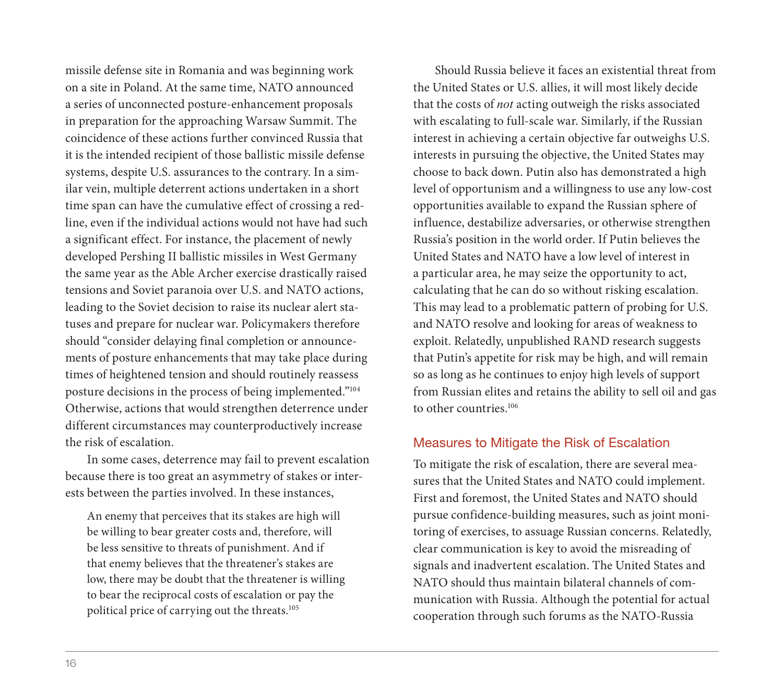missile defense site in Romania and was beginning work on a site in Poland. At the same time, NATO announced a series of unconnected posture-enhancement proposals in preparation for the approaching Warsaw Summit. The coincidence of these actions further convinced Russia that it is the intended recipient of those ballistic missile defense systems, despite U.S. assurances to the contrary. In a similar vein, multiple deterrent actions undertaken in a short time span can have the cumulative effect of crossing a redline, even if the individual actions would not have had such a significant effect. For instance, the placement of newly developed Pershing II ballistic missiles in West Germany the same year as the Able Archer exercise drastically raised tensions and Soviet paranoia over U.S. and NATO actions, leading to the Soviet decision to raise its nuclear alert statuses and prepare for nuclear war. Policymakers therefore should "consider delaying final completion or announcements of posture enhancements that may take place during times of heightened tension and should routinely reassess posture decisions in the process of being implemented."104 Otherwise, actions that would strengthen deterrence under different circumstances may counterproductively increase the risk of escalation.

In some cases, deterrence may fail to prevent escalation because there is too great an asymmetry of stakes or interests between the parties involved. In these instances,

An enemy that perceives that its stakes are high will be willing to bear greater costs and, therefore, will be less sensitive to threats of punishment. And if that enemy believes that the threatener's stakes are low, there may be doubt that the threatener is willing to bear the reciprocal costs of escalation or pay the political price of carrying out the threats.105

Should Russia believe it faces an existential threat from the United States or U.S. allies, it will most likely decide that the costs of *not* acting outweigh the risks associated with escalating to full-scale war. Similarly, if the Russian interest in achieving a certain objective far outweighs U.S. interests in pursuing the objective, the United States may choose to back down. Putin also has demonstrated a high level of opportunism and a willingness to use any low-cost opportunities available to expand the Russian sphere of influence, destabilize adversaries, or otherwise strengthen Russia's position in the world order. If Putin believes the United States and NATO have a low level of interest in a particular area, he may seize the opportunity to act, calculating that he can do so without risking escalation. This may lead to a problematic pattern of probing for U.S. and NATO resolve and looking for areas of weakness to exploit. Relatedly, unpublished RAND research suggests that Putin's appetite for risk may be high, and will remain so as long as he continues to enjoy high levels of support from Russian elites and retains the ability to sell oil and gas to other countries.<sup>106</sup>

#### Measures to Mitigate the Risk of Escalation

To mitigate the risk of escalation, there are several measures that the United States and NATO could implement. First and foremost, the United States and NATO should pursue confidence-building measures, such as joint monitoring of exercises, to assuage Russian concerns. Relatedly, clear communication is key to avoid the misreading of signals and inadvertent escalation. The United States and NATO should thus maintain bilateral channels of communication with Russia. Although the potential for actual cooperation through such forums as the NATO-Russia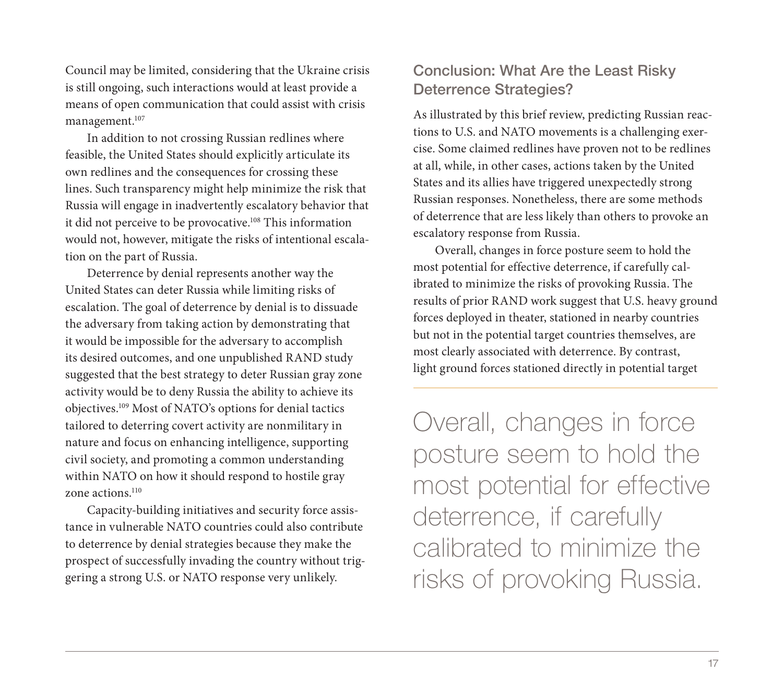Council may be limited, considering that the Ukraine crisis is still ongoing, such interactions would at least provide a means of open communication that could assist with crisis management.107

In addition to not crossing Russian redlines where feasible, the United States should explicitly articulate its own redlines and the consequences for crossing these lines. Such transparency might help minimize the risk that Russia will engage in inadvertently escalatory behavior that it did not perceive to be provocative.<sup>108</sup> This information would not, however, mitigate the risks of intentional escalation on the part of Russia.

Deterrence by denial represents another way the United States can deter Russia while limiting risks of escalation. The goal of deterrence by denial is to dissuade the adversary from taking action by demonstrating that it would be impossible for the adversary to accomplish its desired outcomes, and one unpublished RAND study suggested that the best strategy to deter Russian gray zone activity would be to deny Russia the ability to achieve its objectives.109 Most of NATO's options for denial tactics tailored to deterring covert activity are nonmilitary in nature and focus on enhancing intelligence, supporting civil society, and promoting a common understanding within NATO on how it should respond to hostile gray zone actions.<sup>110</sup>

Capacity-building initiatives and security force assistance in vulnerable NATO countries could also contribute to deterrence by denial strategies because they make the prospect of successfully invading the country without triggering a strong U.S. or NATO response very unlikely.

# Conclusion: What Are the Least Risky Deterrence Strategies?

As illustrated by this brief review, predicting Russian reactions to U.S. and NATO movements is a challenging exercise. Some claimed redlines have proven not to be redlines at all, while, in other cases, actions taken by the United States and its allies have triggered unexpectedly strong Russian responses. Nonetheless, there are some methods of deterrence that are less likely than others to provoke an escalatory response from Russia.

Overall, changes in force posture seem to hold the most potential for effective deterrence, if carefully calibrated to minimize the risks of provoking Russia. The results of prior RAND work suggest that U.S. heavy ground forces deployed in theater, stationed in nearby countries but not in the potential target countries themselves, are most clearly associated with deterrence. By contrast, light ground forces stationed directly in potential target

Overall, changes in force posture seem to hold the most potential for effective deterrence, if carefully calibrated to minimize the risks of provoking Russia.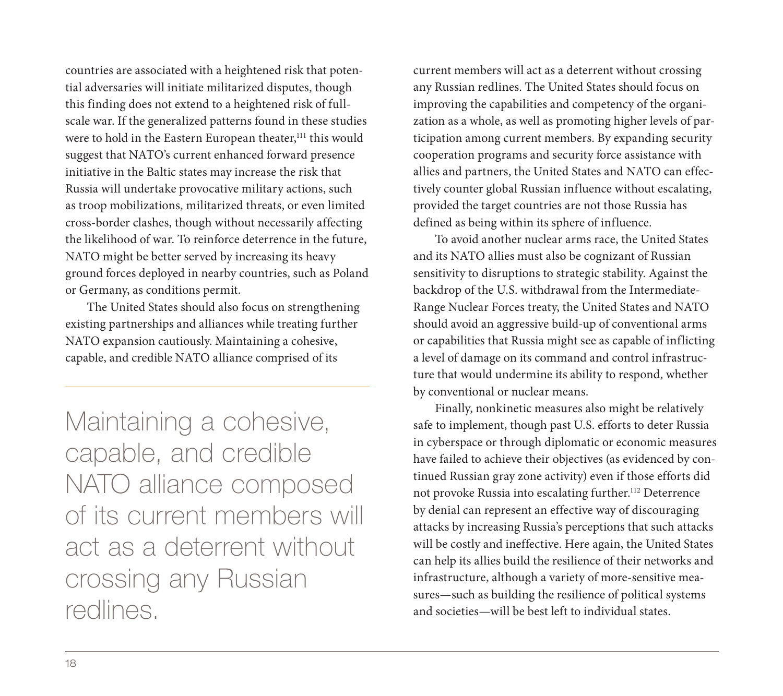countries are associated with a heightened risk that potential adversaries will initiate militarized disputes, though this finding does not extend to a heightened risk of fullscale war. If the generalized patterns found in these studies were to hold in the Eastern European theater,<sup>111</sup> this would suggest that NATO's current enhanced forward presence initiative in the Baltic states may increase the risk that Russia will undertake provocative military actions, such as troop mobilizations, militarized threats, or even limited cross-border clashes, though without necessarily affecting the likelihood of war. To reinforce deterrence in the future, NATO might be better served by increasing its heavy ground forces deployed in nearby countries, such as Poland or Germany, as conditions permit.

The United States should also focus on strengthening existing partnerships and alliances while treating further NATO expansion cautiously. Maintaining a cohesive, capable, and credible NATO alliance comprised of its

Maintaining a cohesive, capable, and credible NATO alliance composed of its current members will act as a deterrent without crossing any Russian redlines.

current members will act as a deterrent without crossing any Russian redlines. The United States should focus on improving the capabilities and competency of the organization as a whole, as well as promoting higher levels of participation among current members. By expanding security cooperation programs and security force assistance with allies and partners, the United States and NATO can effectively counter global Russian influence without escalating, provided the target countries are not those Russia has defined as being within its sphere of influence.

To avoid another nuclear arms race, the United States and its NATO allies must also be cognizant of Russian sensitivity to disruptions to strategic stability. Against the backdrop of the U.S. withdrawal from the Intermediate-Range Nuclear Forces treaty, the United States and NATO should avoid an aggressive build-up of conventional arms or capabilities that Russia might see as capable of inflicting a level of damage on its command and control infrastructure that would undermine its ability to respond, whether by conventional or nuclear means.

Finally, nonkinetic measures also might be relatively safe to implement, though past U.S. efforts to deter Russia in cyberspace or through diplomatic or economic measures have failed to achieve their objectives (as evidenced by continued Russian gray zone activity) even if those efforts did not provoke Russia into escalating further.<sup>112</sup> Deterrence by denial can represent an effective way of discouraging attacks by increasing Russia's perceptions that such attacks will be costly and ineffective. Here again, the United States can help its allies build the resilience of their networks and infrastructure, although a variety of more-sensitive measures—such as building the resilience of political systems and societies—will be best left to individual states.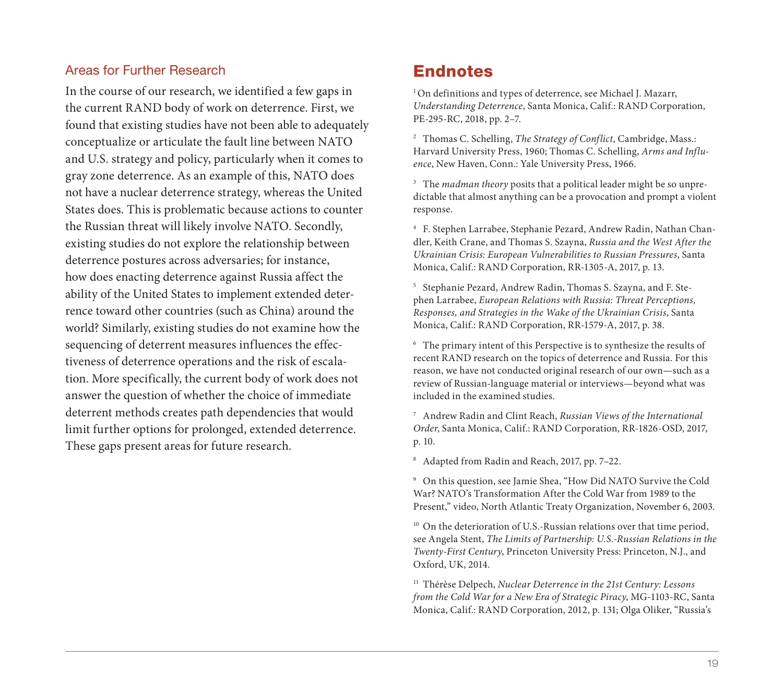#### Areas for Further Research

In the course of our research, we identified a few gaps in the current RAND body of work on deterrence. First, we found that existing studies have not been able to adequately conceptualize or articulate the fault line between NATO and U.S. strategy and policy, particularly when it comes to gray zone deterrence. As an example of this, NATO does not have a nuclear deterrence strategy, whereas the United States does. This is problematic because actions to counter the Russian threat will likely involve NATO. Secondly, existing studies do not explore the relationship between deterrence postures across adversaries; for instance, how does enacting deterrence against Russia affect the ability of the United States to implement extended deterrence toward other countries (such as China) around the world? Similarly, existing studies do not examine how the sequencing of deterrent measures influences the effectiveness of deterrence operations and the risk of escalation. More specifically, the current body of work does not answer the question of whether the choice of immediate deterrent methods creates path dependencies that would limit further options for prolonged, extended deterrence. These gaps present areas for future research.

# Endnotes

<sup>1</sup> On definitions and types of deterrence, see Michael J. Mazarr, *Understanding Deterrence*, Santa Monica, Calif.: RAND Corporation, PE-295-RC, 2018, pp. 2–7.

<sup>2</sup> Thomas C. Schelling, *The Strategy of Conflict*, Cambridge, Mass.: Harvard University Press, 1960; Thomas C. Schelling, *Arms and Influence*, New Haven, Conn.: Yale University Press, 1966.

<sup>3</sup> The *madman theory* posits that a political leader might be so unpredictable that almost anything can be a provocation and prompt a violent response.

<sup>4</sup> F. Stephen Larrabee, Stephanie Pezard, Andrew Radin, Nathan Chandler, Keith Crane, and Thomas S. Szayna, *Russia and the West After the Ukrainian Crisis: European Vulnerabilities to Russian Pressures*, Santa Monica, Calif.: RAND Corporation, RR-1305-A, 2017, p. 13.

<sup>5</sup> Stephanie Pezard, Andrew Radin, Thomas S. Szayna, and F. Stephen Larrabee, *European Relations with Russia: Threat Perceptions, Responses, and Strategies in the Wake of the Ukrainian Crisis*, Santa Monica, Calif.: RAND Corporation, RR-1579-A, 2017, p. 38.

<sup>6</sup> The primary intent of this Perspective is to synthesize the results of recent RAND research on the topics of deterrence and Russia. For this reason, we have not conducted original research of our own—such as a review of Russian-language material or interviews—beyond what was included in the examined studies.

<sup>7</sup> Andrew Radin and Clint Reach, *Russian Views of the International Order*, Santa Monica, Calif.: RAND Corporation, RR-1826-OSD, 2017, p. 10.

<sup>8</sup> Adapted from Radin and Reach, 2017, pp. 7–22.

<sup>9</sup> On this question, see Jamie Shea, "How Did NATO Survive the Cold War? NATO's Transformation After the Cold War from 1989 to the Present," video, North Atlantic Treaty Organization, November 6, 2003.

<sup>10</sup> On the deterioration of U.S.-Russian relations over that time period, see Angela Stent, *The Limits of Partnership: U.S.-Russian Relations in the Twenty-First Century*, Princeton University Press: Princeton, N.J., and Oxford, UK, 2014.

<sup>11</sup> Thérèse Delpech, *Nuclear Deterrence in the 21st Century: Lessons from the Cold War for a New Era of Strategic Piracy*, MG-1103-RC, Santa Monica, Calif.: RAND Corporation, 2012, p. 131; Olga Oliker, "Russia's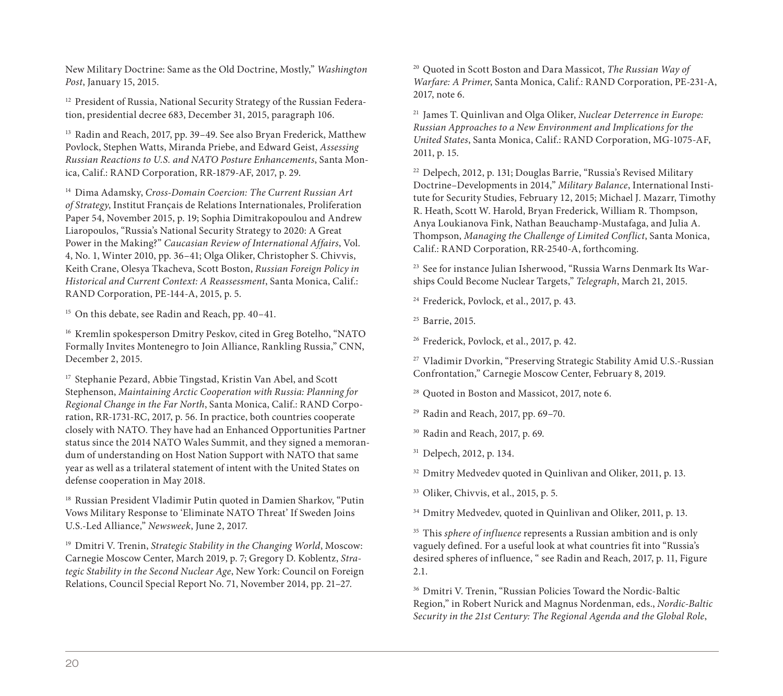New Military Doctrine: Same as the Old Doctrine, Mostly," *Washington Post*, January 15, 2015.

<sup>12</sup> President of Russia, National Security Strategy of the Russian Federation, presidential decree 683, December 31, 2015, paragraph 106.

<sup>13</sup> Radin and Reach, 2017, pp. 39–49. See also Bryan Frederick, Matthew Povlock, Stephen Watts, Miranda Priebe, and Edward Geist, *Assessing Russian Reactions to U.S. and NATO Posture Enhancements*, Santa Monica, Calif.: RAND Corporation, RR-1879-AF, 2017, p. 29.

<sup>14</sup> Dima Adamsky, *Cross-Domain Coercion: The Current Russian Art of Strategy*, Institut Français de Relations Internationales, Proliferation Paper 54, November 2015, p. 19; Sophia Dimitrakopoulou and Andrew Liaropoulos, "Russia's National Security Strategy to 2020: A Great Power in the Making?" *Caucasian Review of International Affairs*, Vol. 4, No. 1, Winter 2010, pp. 36–41; Olga Oliker, Christopher S. Chivvis, Keith Crane, Olesya Tkacheva, Scott Boston, *Russian Foreign Policy in Historical and Current Context: A Reassessment*, Santa Monica, Calif.: RAND Corporation, PE-144-A, 2015, p. 5.

<sup>15</sup> On this debate, see Radin and Reach, pp. 40–41.

<sup>16</sup> Kremlin spokesperson Dmitry Peskov, cited in Greg Botelho, "NATO Formally Invites Montenegro to Join Alliance, Rankling Russia," CNN, December 2, 2015.

<sup>17</sup> Stephanie Pezard, Abbie Tingstad, Kristin Van Abel, and Scott Stephenson, *Maintaining Arctic Cooperation with Russia: Planning for Regional Change in the Far North*, Santa Monica, Calif.: RAND Corporation, RR-1731-RC, 2017, p. 56. In practice, both countries cooperate closely with NATO. They have had an Enhanced Opportunities Partner status since the 2014 NATO Wales Summit, and they signed a memorandum of understanding on Host Nation Support with NATO that same year as well as a trilateral statement of intent with the United States on defense cooperation in May 2018.

<sup>18</sup> Russian President Vladimir Putin quoted in Damien Sharkov, "Putin Vows Military Response to 'Eliminate NATO Threat' If Sweden Joins U.S.-Led Alliance," *Newsweek*, June 2, 2017.

<sup>19</sup> Dmitri V. Trenin, *Strategic Stability in the Changing World*, Moscow: Carnegie Moscow Center, March 2019, p. 7; Gregory D. Koblentz, *Strategic Stability in the Second Nuclear Age*, New York: Council on Foreign Relations, Council Special Report No. 71, November 2014, pp. 21–27.

<sup>20</sup> Quoted in Scott Boston and Dara Massicot, *The Russian Way of Warfare: A Primer*, Santa Monica, Calif.: RAND Corporation, PE-231-A, 2017, note 6.

<sup>21</sup> James T. Quinlivan and Olga Oliker, *Nuclear Deterrence in Europe: Russian Approaches to a New Environment and Implications for the United States*, Santa Monica, Calif.: RAND Corporation, MG-1075-AF, 2011, p. 15.

<sup>22</sup> Delpech, 2012, p. 131; Douglas Barrie, "Russia's Revised Military Doctrine–Developments in 2014," *Military Balance*, International Institute for Security Studies, February 12, 2015; Michael J. Mazarr, Timothy R. Heath, Scott W. Harold, Bryan Frederick, William R. Thompson, Anya Loukianova Fink, Nathan Beauchamp-Mustafaga, and Julia A. Thompson, *Managing the Challenge of Limited Conflict*, Santa Monica, Calif.: RAND Corporation, RR-2540-A, forthcoming.

<sup>23</sup> See for instance Julian Isherwood, "Russia Warns Denmark Its Warships Could Become Nuclear Targets," *Telegraph*, March 21, 2015.

<sup>24</sup> Frederick, Povlock, et al., 2017, p. 43.

<sup>25</sup> Barrie, 2015.

<sup>26</sup> Frederick, Povlock, et al., 2017, p. 42.

<sup>27</sup> Vladimir Dvorkin, "Preserving Strategic Stability Amid U.S.-Russian Confrontation," Carnegie Moscow Center, February 8, 2019.

<sup>28</sup> Quoted in Boston and Massicot, 2017, note 6.

<sup>29</sup> Radin and Reach, 2017, pp. 69–70.

<sup>30</sup> Radin and Reach, 2017, p. 69.

<sup>31</sup> Delpech, 2012, p. 134.

<sup>32</sup> Dmitry Medvedev quoted in Quinlivan and Oliker, 2011, p. 13.

<sup>33</sup> Oliker, Chivvis, et al., 2015, p. 5.

<sup>34</sup> Dmitry Medvedev, quoted in Quinlivan and Oliker, 2011, p. 13.

<sup>35</sup> This *sphere of influence* represents a Russian ambition and is only vaguely defined. For a useful look at what countries fit into "Russia's desired spheres of influence, " see Radin and Reach, 2017, p. 11, Figure 2.1.

<sup>36</sup> Dmitri V. Trenin, "Russian Policies Toward the Nordic-Baltic Region," in Robert Nurick and Magnus Nordenman, eds., *Nordic-Baltic Security in the 21st Century: The Regional Agenda and the Global Role*,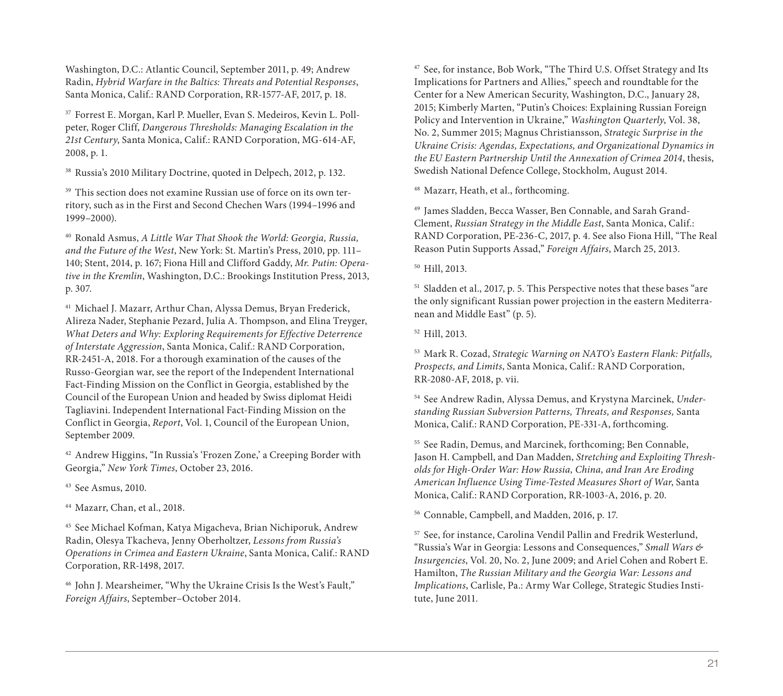Washington, D.C.: Atlantic Council, September 2011, p. 49; Andrew Radin, *Hybrid Warfare in the Baltics: Threats and Potential Responses*, Santa Monica, Calif.: RAND Corporation, RR-1577-AF, 2017, p. 18.

<sup>37</sup> Forrest E. Morgan, Karl P. Mueller, Evan S. Medeiros, Kevin L. Pollpeter, Roger Cliff, *Dangerous Thresholds: Managing Escalation in the 21st Century*, Santa Monica, Calif.: RAND Corporation, MG-614-AF, 2008, p. 1.

<sup>38</sup> Russia's 2010 Military Doctrine, quoted in Delpech, 2012, p. 132.

<sup>39</sup> This section does not examine Russian use of force on its own territory, such as in the First and Second Chechen Wars (1994–1996 and 1999–2000).

<sup>40</sup> Ronald Asmus, *A Little War That Shook the World: Georgia, Russia, and the Future of the West*, New York: St. Martin's Press, 2010, pp. 111– 140; Stent, 2014, p. 167; Fiona Hill and Clifford Gaddy, *Mr. Putin: Operative in the Kremlin*, Washington, D.C.: Brookings Institution Press, 2013, p. 307.

<sup>41</sup> Michael J. Mazarr, Arthur Chan, Alyssa Demus, Bryan Frederick, Alireza Nader, Stephanie Pezard, Julia A. Thompson, and Elina Treyger, *What Deters and Why: Exploring Requirements for Effective Deterrence of Interstate Aggression*, Santa Monica, Calif.: RAND Corporation, RR-2451-A, 2018. For a thorough examination of the causes of the Russo-Georgian war, see the report of the Independent International Fact-Finding Mission on the Conflict in Georgia, established by the Council of the European Union and headed by Swiss diplomat Heidi Tagliavini. Independent International Fact-Finding Mission on the Conflict in Georgia, *Report*, Vol. 1, Council of the European Union, September 2009.

<sup>42</sup> Andrew Higgins, "In Russia's 'Frozen Zone,' a Creeping Border with Georgia," *New York Times*, October 23, 2016.

<sup>43</sup> See Asmus, 2010.

<sup>44</sup> Mazarr, Chan, et al., 2018.

<sup>45</sup> See Michael Kofman, Katya Migacheva, Brian Nichiporuk, Andrew Radin, Olesya Tkacheva, Jenny Oberholtzer, *Lessons from Russia's Operations in Crimea and Eastern Ukraine*, Santa Monica, Calif.: RAND Corporation, RR-1498, 2017.

<sup>46</sup> John J. Mearsheimer, "Why the Ukraine Crisis Is the West's Fault," *Foreign Affairs*, September–October 2014.

<sup>47</sup> See, for instance, Bob Work, "The Third U.S. Offset Strategy and Its Implications for Partners and Allies," speech and roundtable for the Center for a New American Security, Washington, D.C., January 28, 2015; Kimberly Marten, "Putin's Choices: Explaining Russian Foreign Policy and Intervention in Ukraine," *Washington Quarterly*, Vol. 38, No. 2, Summer 2015; Magnus Christiansson, *Strategic Surprise in the Ukraine Crisis: Agendas, Expectations, and Organizational Dynamics in the EU Eastern Partnership Until the Annexation of Crimea 2014*, thesis, Swedish National Defence College, Stockholm, August 2014.

<sup>48</sup> Mazarr, Heath, et al., forthcoming.

<sup>49</sup> James Sladden, Becca Wasser, Ben Connable, and Sarah Grand-Clement, *Russian Strategy in the Middle East*, Santa Monica, Calif.: RAND Corporation, PE-236-C, 2017, p. 4. See also Fiona Hill, "The Real Reason Putin Supports Assad," *Foreign Affairs*, March 25, 2013.

<sup>50</sup> Hill, 2013.

<sup>51</sup> Sladden et al., 2017, p. 5. This Perspective notes that these bases "are the only significant Russian power projection in the eastern Mediterranean and Middle East" (p. 5).

<sup>52</sup> Hill, 2013.

<sup>53</sup> Mark R. Cozad, *Strategic Warning on NATO's Eastern Flank: Pitfalls, Prospects, and Limits*, Santa Monica, Calif.: RAND Corporation, RR-2080-AF, 2018, p. vii.

<sup>54</sup> See Andrew Radin, Alyssa Demus, and Krystyna Marcinek, *Understanding Russian Subversion Patterns, Threats, and Responses,* Santa Monica, Calif.: RAND Corporation, PE-331-A, forthcoming.

<sup>55</sup> See Radin, Demus, and Marcinek, forthcoming; Ben Connable, Jason H. Campbell, and Dan Madden, *Stretching and Exploiting Thresholds for High-Order War: How Russia, China, and Iran Are Eroding American Influence Using Time-Tested Measures Short of War*, Santa Monica, Calif.: RAND Corporation, RR-1003-A, 2016, p. 20.

<sup>56</sup> Connable, Campbell, and Madden, 2016, p. 17.

<sup>57</sup> See, for instance, Carolina Vendil Pallin and Fredrik Westerlund, "Russia's War in Georgia: Lessons and Consequences," *Small Wars & Insurgencies*, Vol. 20, No. 2, June 2009; and Ariel Cohen and Robert E. Hamilton, *The Russian Military and the Georgia War: Lessons and Implications*, Carlisle, Pa.: Army War College, Strategic Studies Institute, June 2011.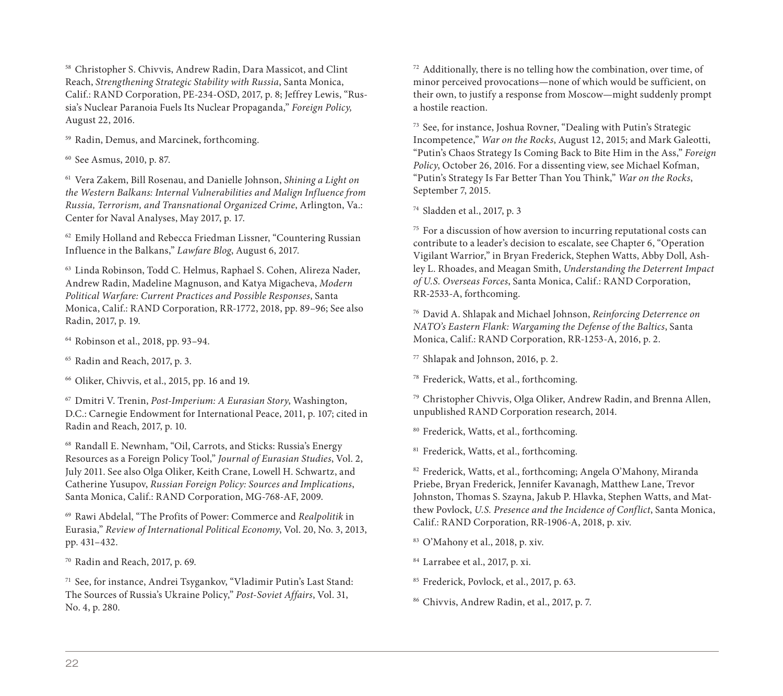<sup>58</sup> Christopher S. Chivvis, Andrew Radin, Dara Massicot, and Clint Reach, *Strengthening Strategic Stability with Russia*, Santa Monica, Calif.: RAND Corporation, PE-234-OSD, 2017, p. 8; Jeffrey Lewis, "Russia's Nuclear Paranoia Fuels Its Nuclear Propaganda," *Foreign Policy,*  August 22, 2016.

<sup>59</sup> Radin, Demus, and Marcinek, forthcoming.

<sup>60</sup> See Asmus, 2010, p. 87.

<sup>61</sup> Vera Zakem, Bill Rosenau, and Danielle Johnson, *Shining a Light on the Western Balkans: Internal Vulnerabilities and Malign Influence from Russia, Terrorism, and Transnational Organized Crime*, Arlington, Va.: Center for Naval Analyses, May 2017, p. 17.

<sup>62</sup> Emily Holland and Rebecca Friedman Lissner, "Countering Russian Influence in the Balkans," *Lawfare Blog*, August 6, 2017.

<sup>63</sup> Linda Robinson, Todd C. Helmus, Raphael S. Cohen, Alireza Nader, Andrew Radin, Madeline Magnuson, and Katya Migacheva, *Modern Political Warfare: Current Practices and Possible Responses*, Santa Monica, Calif.: RAND Corporation, RR-1772, 2018, pp. 89–96; See also Radin, 2017, p. 19.

<sup>64</sup> Robinson et al., 2018, pp. 93–94.

<sup>65</sup> Radin and Reach, 2017, p. 3.

<sup>66</sup> Oliker, Chivvis, et al., 2015, pp. 16 and 19.

<sup>67</sup> Dmitri V. Trenin, *Post-Imperium: A Eurasian Story*, Washington, D.C.: Carnegie Endowment for International Peace, 2011, p. 107; cited in Radin and Reach, 2017, p. 10.

<sup>68</sup> Randall E. Newnham, "Oil, Carrots, and Sticks: Russia's Energy Resources as a Foreign Policy Tool," *Journal of Eurasian Studies*, Vol. 2, July 2011. See also Olga Oliker, Keith Crane, Lowell H. Schwartz, and Catherine Yusupov, *Russian Foreign Policy: Sources and Implications*, Santa Monica, Calif.: RAND Corporation, MG-768-AF, 2009.

<sup>69</sup> Rawi Abdelal, "The Profits of Power: Commerce and *Realpolitik* in Eurasia," *Review of International Political Economy*, Vol. 20, No. 3, 2013, pp. 431–432.

<sup>70</sup> Radin and Reach, 2017, p. 69.

<sup>71</sup> See, for instance, Andrei Tsygankov, "Vladimir Putin's Last Stand: The Sources of Russia's Ukraine Policy," *Post-Soviet Affairs*, Vol. 31, No. 4, p. 280.

 $72$  Additionally, there is no telling how the combination, over time, of minor perceived provocations—none of which would be sufficient, on their own, to justify a response from Moscow—might suddenly prompt a hostile reaction.

<sup>73</sup> See, for instance, Joshua Rovner, "Dealing with Putin's Strategic Incompetence," *War on the Rocks*, August 12, 2015; and Mark Galeotti, "Putin's Chaos Strategy Is Coming Back to Bite Him in the Ass," *Foreign Policy*, October 26, 2016. For a dissenting view, see Michael Kofman, "Putin's Strategy Is Far Better Than You Think," *War on the Rocks*, September 7, 2015.

<sup>74</sup> Sladden et al., 2017, p. 3

<sup>75</sup> For a discussion of how aversion to incurring reputational costs can contribute to a leader's decision to escalate, see Chapter 6, "Operation Vigilant Warrior," in Bryan Frederick, Stephen Watts, Abby Doll, Ashley L. Rhoades, and Meagan Smith, *Understanding the Deterrent Impact of U.S. Overseas Forces*, Santa Monica, Calif.: RAND Corporation, RR-2533-A, forthcoming.

<sup>76</sup> David A. Shlapak and Michael Johnson, *Reinforcing Deterrence on NATO's Eastern Flank: Wargaming the Defense of the Baltics*, Santa Monica, Calif.: RAND Corporation, RR-1253-A, 2016, p. 2.

<sup>77</sup> Shlapak and Johnson, 2016, p. 2.

<sup>78</sup> Frederick, Watts, et al., forthcoming.

<sup>79</sup> Christopher Chivvis, Olga Oliker, Andrew Radin, and Brenna Allen, unpublished RAND Corporation research, 2014.

<sup>80</sup> Frederick, Watts, et al., forthcoming.

<sup>81</sup> Frederick, Watts, et al., forthcoming.

<sup>82</sup> Frederick, Watts, et al., forthcoming; Angela O'Mahony, Miranda Priebe, Bryan Frederick, Jennifer Kavanagh, Matthew Lane, Trevor Johnston, Thomas S. Szayna, Jakub P. Hlavka, Stephen Watts, and Matthew Povlock, *U.S. Presence and the Incidence of Conflict*, Santa Monica, Calif.: RAND Corporation, RR-1906-A, 2018, p. xiv.

<sup>83</sup> O'Mahony et al., 2018, p. xiv.

<sup>84</sup> Larrabee et al., 2017, p. xi.

<sup>85</sup> Frederick, Povlock, et al., 2017, p. 63.

<sup>86</sup> Chivvis, Andrew Radin, et al., 2017, p. 7.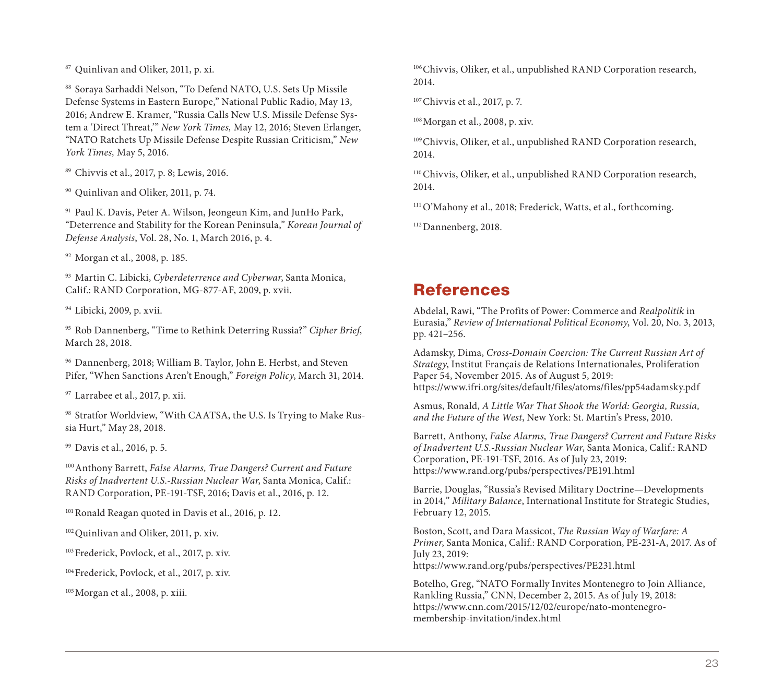<sup>87</sup> Quinlivan and Oliker, 2011, p. xi.

<sup>88</sup> Soraya Sarhaddi Nelson, "To Defend NATO, U.S. Sets Up Missile Defense Systems in Eastern Europe," National Public Radio, May 13, 2016; Andrew E. Kramer, "Russia Calls New U.S. Missile Defense System a 'Direct Threat,'" *New York Times,* May 12, 2016; Steven Erlanger, "NATO Ratchets Up Missile Defense Despite Russian Criticism," *New York Times,* May 5, 2016.

<sup>89</sup> Chivvis et al., 2017, p. 8; Lewis, 2016.

<sup>90</sup> Quinlivan and Oliker, 2011, p. 74.

<sup>91</sup> Paul K. Davis, Peter A. Wilson, Jeongeun Kim, and JunHo Park, "Deterrence and Stability for the Korean Peninsula," *Korean Journal of Defense Analysis*, Vol. 28, No. 1, March 2016, p. 4.

<sup>92</sup> Morgan et al., 2008, p. 185.

<sup>93</sup> Martin C. Libicki, *Cyberdeterrence and Cyberwar*, Santa Monica, Calif.: RAND Corporation, MG-877-AF, 2009, p. xvii.

<sup>94</sup> Libicki, 2009, p. xvii.

<sup>95</sup> Rob Dannenberg, "Time to Rethink Deterring Russia?" *Cipher Brief*, March 28, 2018.

<sup>96</sup> Dannenberg, 2018; William B. Taylor, John E. Herbst, and Steven Pifer, "When Sanctions Aren't Enough," *Foreign Policy*, March 31, 2014.

<sup>97</sup> Larrabee et al., 2017, p. xii.

98 Stratfor Worldview, "With CAATSA, the U.S. Is Trying to Make Russia Hurt," May 28, 2018.

<sup>99</sup> Davis et al., 2016, p. 5.

100Anthony Barrett, *False Alarms, True Dangers? Current and Future Risks of Inadvertent U.S.-Russian Nuclear War*, Santa Monica, Calif.: RAND Corporation, PE-191-TSF, 2016; Davis et al., 2016, p. 12.

<sup>101</sup> Ronald Reagan quoted in Davis et al., 2016, p. 12.

102Quinlivan and Oliker, 2011, p. xiv.

103Frederick, Povlock, et al., 2017, p. xiv.

104Frederick, Povlock, et al., 2017, p. xiv.

105Morgan et al., 2008, p. xiii.

106Chivvis, Oliker, et al., unpublished RAND Corporation research, 2014.

107Chivvis et al., 2017, p. 7.

108Morgan et al., 2008, p. xiv.

109Chivvis, Oliker, et al., unpublished RAND Corporation research, 2014.

110Chivvis, Oliker, et al., unpublished RAND Corporation research, 2014.

111O'Mahony et al., 2018; Frederick, Watts, et al., forthcoming.

112Dannenberg, 2018.

# References

Abdelal, Rawi, "The Profits of Power: Commerce and *Realpolitik* in Eurasia," *Review of International Political Economy*, Vol. 20, No. 3, 2013, pp. 421–256.

Adamsky, Dima, *Cross-Domain Coercion: The Current Russian Art of Strategy*, Institut Français de Relations Internationales, Proliferation Paper 54, November 2015. As of August 5, 2019: <https://www.ifri.org/sites/default/files/atoms/files/pp54adamsky.pdf>

Asmus, Ronald, *A Little War That Shook the World: Georgia, Russia, and the Future of the West*, New York: St. Martin's Press, 2010.

Barrett, Anthony, *False Alarms, True Dangers? Current and Future Risks of Inadvertent U.S.-Russian Nuclear War*, Santa Monica, Calif.: RAND Corporation, PE-191-TSF, 2016. As of July 23, 2019: <https://www.rand.org/pubs/perspectives/PE191.html>

Barrie, Douglas, "Russia's Revised Military Doctrine—Developments in 2014," *Military Balance*, International Institute for Strategic Studies, February 12, 2015.

Boston, Scott, and Dara Massicot, *The Russian Way of Warfare: A Primer*, Santa Monica, Calif.: RAND Corporation, PE-231-A, 2017. As of July 23, 2019: <https://www.rand.org/pubs/perspectives/PE231.html>

Botelho, Greg, "NATO Formally Invites Montenegro to Join Alliance, Rankling Russia," CNN, December 2, 2015. As of July 19, 2018: [https://www.cnn.com/2015/12/02/europe/nato-montenegro](https://www.cnn.com/2015/12/02/europe/nato-montenegro-membership-invitation/index.html)membership-invitation/index.html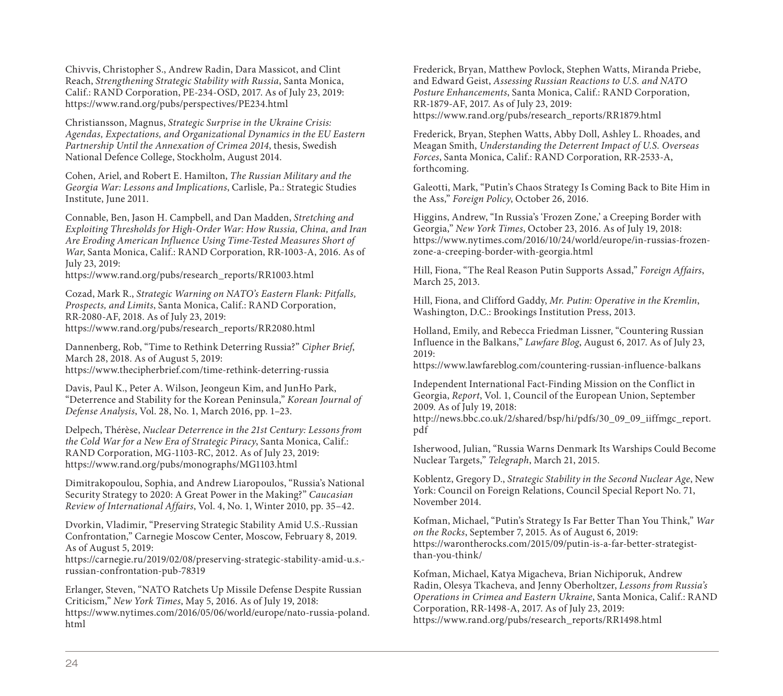Chivvis, Christopher S., Andrew Radin, Dara Massicot, and Clint Reach, *Strengthening Strategic Stability with Russia*, Santa Monica, Calif.: RAND Corporation, PE-234-OSD, 2017. As of July 23, 2019: <https://www.rand.org/pubs/perspectives/PE234.html>

Christiansson, Magnus, *Strategic Surprise in the Ukraine Crisis: Agendas, Expectations, and Organizational Dynamics in the EU Eastern Partnership Until the Annexation of Crimea 2014*, thesis, Swedish National Defence College, Stockholm, August 2014.

Cohen, Ariel, and Robert E. Hamilton, *The Russian Military and the Georgia War: Lessons and Implications*, Carlisle, Pa.: Strategic Studies Institute, June 2011.

Connable, Ben, Jason H. Campbell, and Dan Madden, *Stretching and Exploiting Thresholds for High-Order War: How Russia, China, and Iran Are Eroding American Influence Using Time-Tested Measures Short of War*, Santa Monica, Calif.: RAND Corporation, RR-1003-A, 2016. As of July 23, 2019:

[https://www.rand.org/pubs/research\\_reports/RR1003.html](https://www.rand.org/pubs/research_reports/RR1003.html)

Cozad, Mark R., *Strategic Warning on NATO's Eastern Flank: Pitfalls, Prospects, and Limits*, Santa Monica, Calif.: RAND Corporation, RR-2080-AF, 2018. As of July 23, 2019: [https://www.rand.org/pubs/research\\_reports/RR2080.html](https://www.rand.org/pubs/research_reports/RR2080.html)

Dannenberg, Rob, "Time to Rethink Deterring Russia?" *Cipher Brief*, March 28, 2018. As of August 5, 2019: <https://www.thecipherbrief.com/time-rethink-deterring-russia>

Davis, Paul K., Peter A. Wilson, Jeongeun Kim, and JunHo Park, "Deterrence and Stability for the Korean Peninsula," *Korean Journal of Defense Analysis*, Vol. 28, No. 1, March 2016, pp. 1–23.

Delpech, Thérèse, *Nuclear Deterrence in the 21st Century: Lessons from the Cold War for a New Era of Strategic Piracy*, Santa Monica, Calif.: RAND Corporation, MG-1103-RC, 2012. As of July 23, 2019: <https://www.rand.org/pubs/monographs/MG1103.html>

Dimitrakopoulou, Sophia, and Andrew Liaropoulos, "Russia's National Security Strategy to 2020: A Great Power in the Making?" *Caucasian Review of International Affairs*, Vol. 4, No. 1, Winter 2010, pp. 35–42.

Dvorkin, Vladimir, "Preserving Strategic Stability Amid U.S.-Russian Confrontation," Carnegie Moscow Center, Moscow, February 8, 2019. As of August 5, 2019:

[https://carnegie.ru/2019/02/08/preserving-strategic-stability-amid-u.s.](https://carnegie.ru/2019/02/08/preserving-strategic-stability-amid-u.s.-russian-confrontation-pub-78319) russian-confrontation-pub-78319

Erlanger, Steven, "NATO Ratchets Up Missile Defense Despite Russian Criticism," *New York Times*, May 5, 2016. As of July 19, 2018: [https://www.nytimes.com/2016/05/06/world/europe/nato-russia-poland.](https://www.nytimes.com/2016/05/06/world/europe/nato-russia-poland.html) html

Frederick, Bryan, Matthew Povlock, Stephen Watts, Miranda Priebe, and Edward Geist, *Assessing Russian Reactions to U.S. and NATO Posture Enhancements*, Santa Monica, Calif.: RAND Corporation, RR-1879-AF, 2017. As of July 23, 2019: [https://www.rand.org/pubs/research\\_reports/RR1879.html](https://www.rand.org/pubs/research_reports/RR1879.html)

Frederick, Bryan, Stephen Watts, Abby Doll, Ashley L. Rhoades, and Meagan Smith, *Understanding the Deterrent Impact of U.S. Overseas Forces*, Santa Monica, Calif.: RAND Corporation, RR-2533-A, forthcoming.

Galeotti, Mark, "Putin's Chaos Strategy Is Coming Back to Bite Him in the Ass," *Foreign Policy*, October 26, 2016.

Higgins, Andrew, "In Russia's 'Frozen Zone,' a Creeping Border with Georgia," *New York Times*, October 23, 2016. As of July 19, 2018: [https://www.nytimes.com/2016/10/24/world/europe/in-russias-frozen](https://www.nytimes.com/2016/10/24/world/europe/in-russias-frozen-zone-a-creeping-border-with-georgia.html)zone-a-creeping-border-with-georgia.html

Hill, Fiona, "The Real Reason Putin Supports Assad," *Foreign Affairs*, March 25, 2013.

Hill, Fiona, and Clifford Gaddy, *Mr. Putin: Operative in the Kremlin*, Washington, D.C.: Brookings Institution Press, 2013.

Holland, Emily, and Rebecca Friedman Lissner, "Countering Russian Influence in the Balkans," *Lawfare Blog*, August 6, 2017. As of July 23, 2019:

<https://www.lawfareblog.com/countering-russian-influence-balkans>

Independent International Fact-Finding Mission on the Conflict in Georgia, *Report*, Vol. 1, Council of the European Union, September 2009. As of July 19, 2018:

[http://news.bbc.co.uk/2/shared/bsp/hi/pdfs/30\\_09\\_09\\_iiffmgc\\_report.](http://news.bbc.co.uk/2/shared/bsp/hi/pdfs/30_09_09_iiffmgc_report.pdf) pdf

Isherwood, Julian, "Russia Warns Denmark Its Warships Could Become Nuclear Targets," *Telegraph*, March 21, 2015.

Koblentz, Gregory D., *Strategic Stability in the Second Nuclear Age*, New York: Council on Foreign Relations, Council Special Report No. 71, November 2014.

Kofman, Michael, "Putin's Strategy Is Far Better Than You Think," *War on the Rocks*, September 7, 2015. As of August 6, 2019: [https://warontherocks.com/2015/09/putin-is-a-far-better-strategist](https://warontherocks.com/2015/09/putin-is-a-far-better-strategist-than-you-think/)than-you-think/

Kofman, Michael, Katya Migacheva, Brian Nichiporuk, Andrew Radin, Olesya Tkacheva, and Jenny Oberholtzer, *Lessons from Russia's Operations in Crimea and Eastern Ukraine*, Santa Monica, Calif.: RAND Corporation, RR-1498-A, 2017. As of July 23, 2019: [https://www.rand.org/pubs/research\\_reports/RR1498.html](https://www.rand.org/pubs/research_reports/RR1498.html)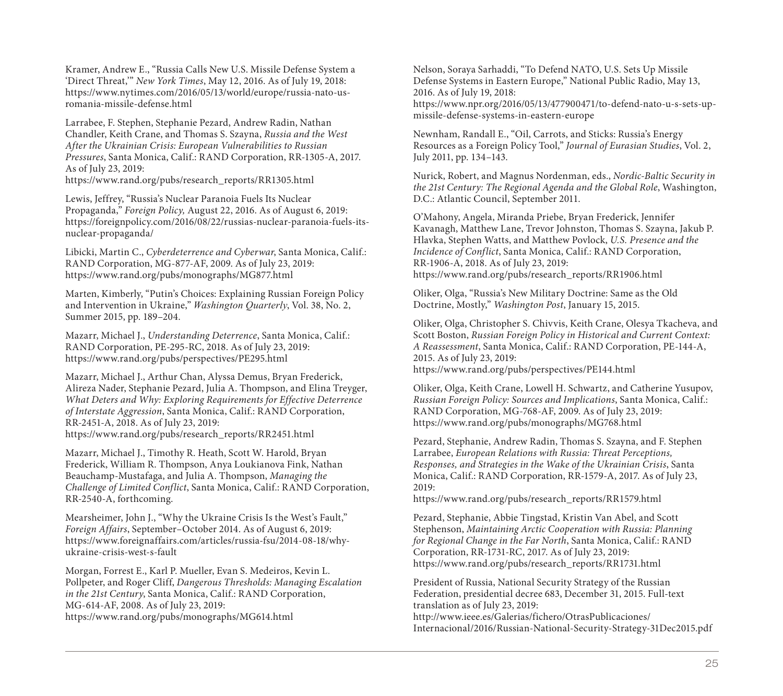Kramer, Andrew E., "Russia Calls New U.S. Missile Defense System a 'Direct Threat,'" *New York Times*, May 12, 2016. As of July 19, 2018: [https://www.nytimes.com/2016/05/13/world/europe/russia-nato-us](https://www.nytimes.com/2016/05/13/world/europe/russia-nato-us-romania-missile-defense.html)romania-missile-defense.html

Larrabee, F. Stephen, Stephanie Pezard, Andrew Radin, Nathan Chandler, Keith Crane, and Thomas S. Szayna, *Russia and the West After the Ukrainian Crisis: European Vulnerabilities to Russian Pressures*, Santa Monica, Calif.: RAND Corporation, RR-1305-A, 2017. As of July 23, 2019: [https://www.rand.org/pubs/research\\_reports/RR1305.html](https://www.rand.org/pubs/research_reports/RR1305.html)

Lewis, Jeffrey, "Russia's Nuclear Paranoia Fuels Its Nuclear Propaganda," *Foreign Policy,* August 22, 2016. As of August 6, 2019: [https://foreignpolicy.com/2016/08/22/russias-nuclear-paranoia-fuels-its](https://foreignpolicy.com/2016/08/22/russias-nuclear-paranoia-fuels-its-nuclear-propaganda/)nuclear-propaganda/

Libicki, Martin C., *Cyberdeterrence and Cyberwar*, Santa Monica, Calif.: RAND Corporation, MG-877-AF, 2009. As of July 23, 2019: <https://www.rand.org/pubs/monographs/MG877.html>

Marten, Kimberly, "Putin's Choices: Explaining Russian Foreign Policy and Intervention in Ukraine," *Washington Quarterly*, Vol. 38, No. 2, Summer 2015, pp. 189–204.

Mazarr, Michael J., *Understanding Deterrence*, Santa Monica, Calif.: RAND Corporation, PE-295-RC, 2018. As of July 23, 2019: <https://www.rand.org/pubs/perspectives/PE295.html>

Mazarr, Michael J., Arthur Chan, Alyssa Demus, Bryan Frederick, Alireza Nader, Stephanie Pezard, Julia A. Thompson, and Elina Treyger, *What Deters and Why: Exploring Requirements for Effective Deterrence of Interstate Aggression*, Santa Monica, Calif.: RAND Corporation, RR-2451-A, 2018. As of July 23, 2019: [https://www.rand.org/pubs/research\\_reports/RR2451.html](https://www.rand.org/pubs/research_reports/RR2451.html)

Mazarr, Michael J., Timothy R. Heath, Scott W. Harold, Bryan Frederick, William R. Thompson, Anya Loukianova Fink, Nathan Beauchamp-Mustafaga, and Julia A. Thompson, *Managing the Challenge of Limited Conflict*, Santa Monica, Calif.: RAND Corporation, RR-2540-A, forthcoming.

Mearsheimer, John J., "Why the Ukraine Crisis Is the West's Fault," *Foreign Affairs*, September–October 2014. As of August 6, 2019: [https://www.foreignaffairs.com/articles/russia-fsu/2014-08-18/why](https://www.foreignaffairs.com/articles/russia-fsu/2014-08-18/why-ukraine-crisis-west-s-fault)ukraine-crisis-west-s-fault

Morgan, Forrest E., Karl P. Mueller, Evan S. Medeiros, Kevin L. Pollpeter, and Roger Cliff, *Dangerous Thresholds: Managing Escalation in the 21st Century*, Santa Monica, Calif.: RAND Corporation, MG-614-AF, 2008. As of July 23, 2019: <https://www.rand.org/pubs/monographs/MG614.html>

Nelson, Soraya Sarhaddi, "To Defend NATO, U.S. Sets Up Missile Defense Systems in Eastern Europe," National Public Radio, May 13, 2016. As of July 19, 2018: [https://www.npr.org/2016/05/13/477900471/to-defend-nato-u-s-sets-up](https://www.npr.org/2016/05/13/477900471/to-defend-nato-u-s-sets-up-missile-defense-systems-in-eastern-europe)missile-defense-systems-in-eastern-europe

Newnham, Randall E., "Oil, Carrots, and Sticks: Russia's Energy Resources as a Foreign Policy Tool," *Journal of Eurasian Studies*, Vol. 2, July 2011, pp. 134–143.

Nurick, Robert, and Magnus Nordenman, eds., *Nordic-Baltic Security in the 21st Century: The Regional Agenda and the Global Role*, Washington, D.C.: Atlantic Council, September 2011.

O'Mahony, Angela, Miranda Priebe, Bryan Frederick, Jennifer Kavanagh, Matthew Lane, Trevor Johnston, Thomas S. Szayna, Jakub P. Hlavka, Stephen Watts, and Matthew Povlock, *U.S. Presence and the Incidence of Conflict*, Santa Monica, Calif.: RAND Corporation, RR-1906-A, 2018. As of July 23, 2019: [https://www.rand.org/pubs/research\\_reports/RR1906.html](https://www.rand.org/pubs/research_reports/RR1906.html)

Oliker, Olga, "Russia's New Military Doctrine: Same as the Old Doctrine, Mostly," *Washington Post*, January 15, 2015.

Oliker, Olga, Christopher S. Chivvis, Keith Crane, Olesya Tkacheva, and Scott Boston, *Russian Foreign Policy in Historical and Current Context: A Reassessment*, Santa Monica, Calif.: RAND Corporation, PE-144-A, 2015. As of July 23, 2019:

<https://www.rand.org/pubs/perspectives/PE144.html>

Oliker, Olga, Keith Crane, Lowell H. Schwartz, and Catherine Yusupov, *Russian Foreign Policy: Sources and Implications*, Santa Monica, Calif.: RAND Corporation, MG-768-AF, 2009. As of July 23, 2019: <https://www.rand.org/pubs/monographs/MG768.html>

Pezard, Stephanie, Andrew Radin, Thomas S. Szayna, and F. Stephen Larrabee, *European Relations with Russia: Threat Perceptions, Responses, and Strategies in the Wake of the Ukrainian Crisis*, Santa Monica, Calif.: RAND Corporation, RR-1579-A, 2017. As of July 23, 2019:

[https://www.rand.org/pubs/research\\_reports/RR1579.html](https://www.rand.org/pubs/research_reports/RR1579.html)

Pezard, Stephanie, Abbie Tingstad, Kristin Van Abel, and Scott Stephenson, *Maintaining Arctic Cooperation with Russia: Planning for Regional Change in the Far North*, Santa Monica, Calif.: RAND Corporation, RR-1731-RC, 2017. As of July 23, 2019: [https://www.rand.org/pubs/research\\_reports/RR1731.html](https://www.rand.org/pubs/research_reports/RR1731.html)

President of Russia, National Security Strategy of the Russian Federation, presidential decree 683, December 31, 2015. Full-text translation as of July 23, 2019: http://www.ieee.es/Galerias/fichero/OtrasPublicaciones/ [Internacional/2016/Russian-National-Security-Strategy-31Dec2015.pdf](http://www.ieee.es/Galerias/fichero/OtrasPublicaciones/Internacional/2016/Russian-National-Security-Strategy-31Dec2015.pdf)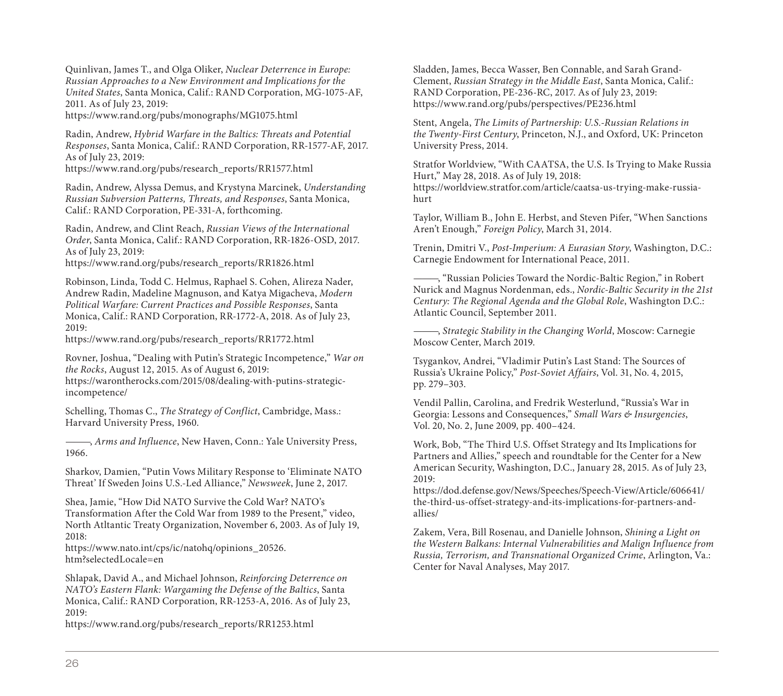Quinlivan, James T., and Olga Oliker, *Nuclear Deterrence in Europe: Russian Approaches to a New Environment and Implications for the United States*, Santa Monica, Calif.: RAND Corporation, MG-1075-AF, 2011. As of July 23, 2019:

<https://www.rand.org/pubs/monographs/MG1075.html>

Radin, Andrew, *Hybrid Warfare in the Baltics: Threats and Potential Responses*, Santa Monica, Calif.: RAND Corporation, RR-1577-AF, 2017. As of July 23, 2019:

[https://www.rand.org/pubs/research\\_reports/RR1577.html](https://www.rand.org/pubs/research_reports/RR1577.html)

Radin, Andrew, Alyssa Demus, and Krystyna Marcinek, *Understanding Russian Subversion Patterns, Threats, and Responses*, Santa Monica, Calif.: RAND Corporation, PE-331-A, forthcoming.

Radin, Andrew, and Clint Reach, *Russian Views of the International Order*, Santa Monica, Calif.: RAND Corporation, RR-1826-OSD, 2017. As of July 23, 2019:

[https://www.rand.org/pubs/research\\_reports/RR1826.html](https://www.rand.org/pubs/research_reports/RR1826.html)

Robinson, Linda, Todd C. Helmus, Raphael S. Cohen, Alireza Nader, Andrew Radin, Madeline Magnuson, and Katya Migacheva, *Modern Political Warfare: Current Practices and Possible Responses*, Santa Monica, Calif.: RAND Corporation, RR-1772-A, 2018. As of July 23, 2019:

[https://www.rand.org/pubs/research\\_reports/RR1772.html](https://www.rand.org/pubs/research_reports/RR1772.html)

Rovner, Joshua, "Dealing with Putin's Strategic Incompetence," *War on the Rocks*, August 12, 2015. As of August 6, 2019: [https://warontherocks.com/2015/08/dealing-with-putins-strategic](https://warontherocks.com/2015/08/dealing-with-putins-strategic-incompetence/)incompetence/

Schelling, Thomas C., *The Strategy of Conflict*, Cambridge, Mass.: Harvard University Press, 1960.

———, *Arms and Influence*, New Haven, Conn.: Yale University Press, 1966.

Sharkov, Damien, "Putin Vows Military Response to 'Eliminate NATO Threat' If Sweden Joins U.S.-Led Alliance," *Newsweek*, June 2, 2017.

Shea, Jamie, "How Did NATO Survive the Cold War? NATO's Transformation After the Cold War from 1989 to the Present," video, North Atltantic Treaty Organization, November 6, 2003. As of July 19, 2018:

[https://www.nato.int/cps/ic/natohq/opinions\\_20526.](https://www.nato.int/cps/ic/natohq/opinions_20526.htm?selectedLocale=en) htm?selectedLocale=en

Shlapak, David A., and Michael Johnson, *Reinforcing Deterrence on NATO's Eastern Flank: Wargaming the Defense of the Baltics*, Santa Monica, Calif.: RAND Corporation, RR-1253-A, 2016. As of July 23, 2019:

[https://www.rand.org/pubs/research\\_reports/RR1253.html](https://www.rand.org/pubs/research_reports/RR1253.html)

Sladden, James, Becca Wasser, Ben Connable, and Sarah Grand-Clement, *Russian Strategy in the Middle East*, Santa Monica, Calif.: RAND Corporation, PE-236-RC, 2017. As of July 23, 2019: <https://www.rand.org/pubs/perspectives/PE236.html>

Stent, Angela, *The Limits of Partnership: U.S.-Russian Relations in the Twenty-First Century*, Princeton, N.J., and Oxford, UK: Princeton University Press, 2014.

Stratfor Worldview, "With CAATSA, the U.S. Is Trying to Make Russia Hurt," May 28, 2018. As of July 19, 2018: [https://worldview.stratfor.com/article/caatsa-us-trying-make-russia](https://worldview.stratfor.com/article/caatsa-us-trying-make-russia-hurt)hurt

Taylor, William B., John E. Herbst, and Steven Pifer, "When Sanctions Aren't Enough," *Foreign Policy*, March 31, 2014.

Trenin, Dmitri V., *Post-Imperium: A Eurasian Story*, Washington, D.C.: Carnegie Endowment for International Peace, 2011.

———, "Russian Policies Toward the Nordic-Baltic Region," in Robert Nurick and Magnus Nordenman, eds., *Nordic-Baltic Security in the 21st Century: The Regional Agenda and the Global Role*, Washington D.C.: Atlantic Council, September 2011.

———, *Strategic Stability in the Changing World*, Moscow: Carnegie Moscow Center, March 2019.

Tsygankov, Andrei, "Vladimir Putin's Last Stand: The Sources of Russia's Ukraine Policy," *Post-Soviet Affairs*, Vol. 31, No. 4, 2015, pp. 279–303.

Vendil Pallin, Carolina, and Fredrik Westerlund, "Russia's War in Georgia: Lessons and Consequences," *Small Wars & Insurgencies*, Vol. 20, No. 2, June 2009, pp. 400–424.

Work, Bob, "The Third U.S. Offset Strategy and Its Implications for Partners and Allies," speech and roundtable for the Center for a New American Security, Washington, D.C., January 28, 2015. As of July 23, 2019:

[https://dod.defense.gov/News/Speeches/Speech-View/Article/606641/](https://dod.defense.gov/News/Speeches/Speech-View/Article/606641/the-third-us-offset-strategy-and-its-implications-for-partners-and-allies/) the-third-us-offset-strategy-and-its-implications-for-partners-andallies/

Zakem, Vera, Bill Rosenau, and Danielle Johnson, *Shining a Light on the Western Balkans: Internal Vulnerabilities and Malign Influence from Russia, Terrorism, and Transnational Organized Crime*, Arlington, Va.: Center for Naval Analyses, May 2017.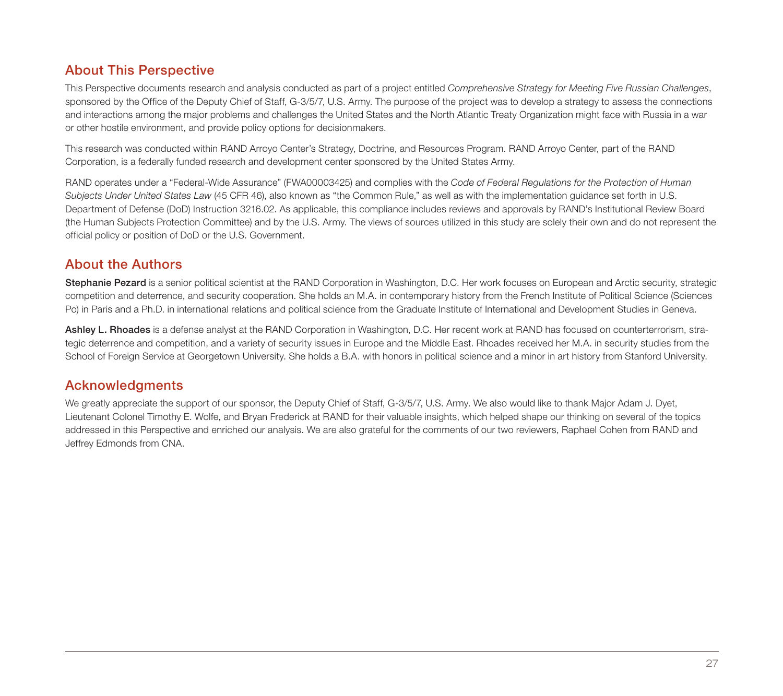# About This Perspective

This Perspective documents research and analysis conducted as part of a project entitled *Comprehensive Strategy for Meeting Five Russian Challenges*, sponsored by the Office of the Deputy Chief of Staff, G-3/5/7, U.S. Army. The purpose of the project was to develop a strategy to assess the connections and interactions among the major problems and challenges the United States and the North Atlantic Treaty Organization might face with Russia in a war or other hostile environment, and provide policy options for decisionmakers.

This research was conducted within RAND Arroyo Center's Strategy, Doctrine, and Resources Program. RAND Arroyo Center, part of the RAND Corporation, is a federally funded research and development center sponsored by the United States Army.

RAND operates under a "Federal-Wide Assurance" (FWA00003425) and complies with the *Code of Federal Regulations for the Protection of Human Subjects Under United States Law* (45 CFR 46), also known as "the Common Rule," as well as with the implementation guidance set forth in U.S. Department of Defense (DoD) Instruction 3216.02. As applicable, this compliance includes reviews and approvals by RAND's Institutional Review Board (the Human Subjects Protection Committee) and by the U.S. Army. The views of sources utilized in this study are solely their own and do not represent the official policy or position of DoD or the U.S. Government.

# About the Authors

Stephanie Pezard is a senior political scientist at the RAND Corporation in Washington, D.C. Her work focuses on European and Arctic security, strategic competition and deterrence, and security cooperation. She holds an M.A. in contemporary history from the French Institute of Political Science (Sciences Po) in Paris and a Ph.D. in international relations and political science from the Graduate Institute of International and Development Studies in Geneva.

Ashley L. Rhoades is a defense analyst at the RAND Corporation in Washington, D.C. Her recent work at RAND has focused on counterterrorism, strategic deterrence and competition, and a variety of security issues in Europe and the Middle East. Rhoades received her M.A. in security studies from the School of Foreign Service at Georgetown University. She holds a B.A. with honors in political science and a minor in art history from Stanford University.

## Acknowledgments

We greatly appreciate the support of our sponsor, the Deputy Chief of Staff, G-3/5/7, U.S. Army. We also would like to thank Major Adam J. Dyet, Lieutenant Colonel Timothy E. Wolfe, and Bryan Frederick at RAND for their valuable insights, which helped shape our thinking on several of the topics addressed in this Perspective and enriched our analysis. We are also grateful for the comments of our two reviewers, Raphael Cohen from RAND and Jeffrey Edmonds from CNA.